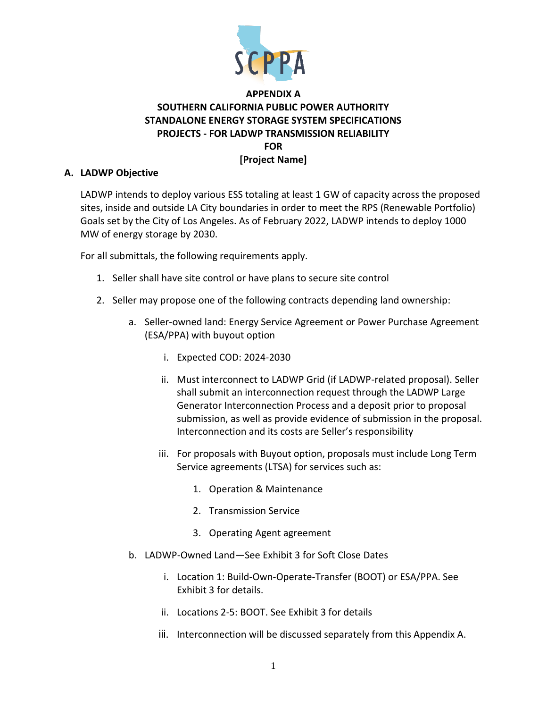

# **APPENDIX A SOUTHERN CALIFORNIA PUBLIC POWER AUTHORITY STANDALONE ENERGY STORAGE SYSTEM SPECIFICATIONS PROJECTS - FOR LADWP TRANSMISSION RELIABILITY FOR [Project Name]**

#### **A. LADWP Objective**

LADWP intends to deploy various ESS totaling at least 1 GW of capacity across the proposed sites, inside and outside LA City boundaries in order to meet the RPS (Renewable Portfolio) Goals set by the City of Los Angeles. As of February 2022, LADWP intends to deploy 1000 MW of energy storage by 2030.

For all submittals, the following requirements apply.

- 1. Seller shall have site control or have plans to secure site control
- 2. Seller may propose one of the following contracts depending land ownership:
	- a. Seller-owned land: Energy Service Agreement or Power Purchase Agreement (ESA/PPA) with buyout option
		- i. Expected COD: 2024-2030
		- ii. Must interconnect to LADWP Grid (if LADWP-related proposal). Seller shall submit an interconnection request through the LADWP Large Generator Interconnection Process and a deposit prior to proposal submission, as well as provide evidence of submission in the proposal. Interconnection and its costs are Seller's responsibility
		- iii. For proposals with Buyout option, proposals must include Long Term Service agreements (LTSA) for services such as:
			- 1. Operation & Maintenance
			- 2. Transmission Service
			- 3. Operating Agent agreement
	- b. LADWP-Owned Land—See Exhibit 3 for Soft Close Dates
		- i. Location 1: Build-Own-Operate-Transfer (BOOT) or ESA/PPA. See Exhibit 3 for details.
		- ii. Locations 2-5: BOOT. See Exhibit 3 for details
		- iii. Interconnection will be discussed separately from this Appendix A.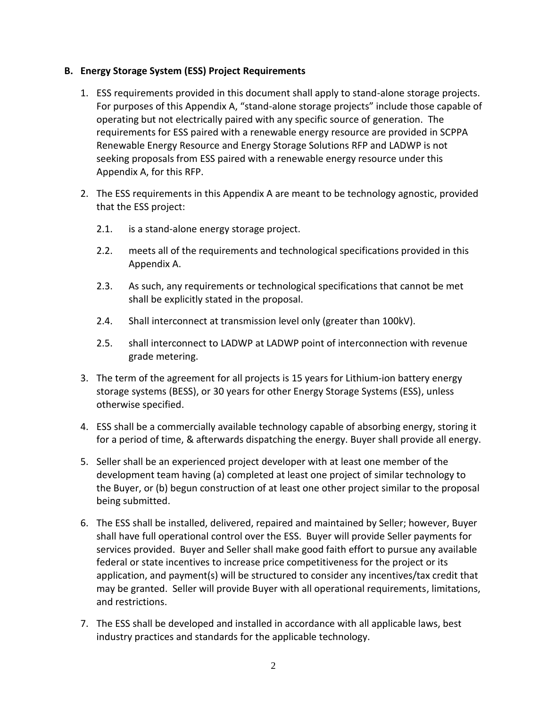### **B. Energy Storage System (ESS) Project Requirements**

- 1. ESS requirements provided in this document shall apply to stand-alone storage projects. For purposes of this Appendix A, "stand-alone storage projects" include those capable of operating but not electrically paired with any specific source of generation. The requirements for ESS paired with a renewable energy resource are provided in SCPPA Renewable Energy Resource and Energy Storage Solutions RFP and LADWP is not seeking proposals from ESS paired with a renewable energy resource under this Appendix A, for this RFP.
- 2. The ESS requirements in this Appendix A are meant to be technology agnostic, provided that the ESS project:
	- 2.1. is a stand-alone energy storage project.
	- 2.2. meets all of the requirements and technological specifications provided in this Appendix A.
	- 2.3. As such, any requirements or technological specifications that cannot be met shall be explicitly stated in the proposal.
	- 2.4. Shall interconnect at transmission level only (greater than 100kV).
	- 2.5. shall interconnect to LADWP at LADWP point of interconnection with revenue grade metering.
- 3. The term of the agreement for all projects is 15 years for Lithium-ion battery energy storage systems (BESS), or 30 years for other Energy Storage Systems (ESS), unless otherwise specified.
- 4. ESS shall be a commercially available technology capable of absorbing energy, storing it for a period of time, & afterwards dispatching the energy. Buyer shall provide all energy.
- 5. Seller shall be an experienced project developer with at least one member of the development team having (a) completed at least one project of similar technology to the Buyer, or (b) begun construction of at least one other project similar to the proposal being submitted.
- 6. The ESS shall be installed, delivered, repaired and maintained by Seller; however, Buyer shall have full operational control over the ESS. Buyer will provide Seller payments for services provided. Buyer and Seller shall make good faith effort to pursue any available federal or state incentives to increase price competitiveness for the project or its application, and payment(s) will be structured to consider any incentives/tax credit that may be granted. Seller will provide Buyer with all operational requirements, limitations, and restrictions.
- 7. The ESS shall be developed and installed in accordance with all applicable laws, best industry practices and standards for the applicable technology.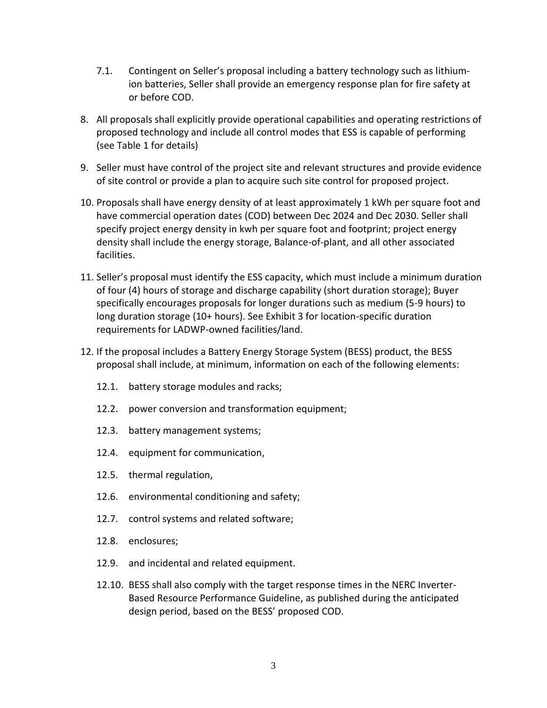- 7.1. Contingent on Seller's proposal including a battery technology such as lithiumion batteries, Seller shall provide an emergency response plan for fire safety at or before COD.
- 8. All proposals shall explicitly provide operational capabilities and operating restrictions of proposed technology and include all control modes that ESS is capable of performing (see Table 1 for details)
- 9. Seller must have control of the project site and relevant structures and provide evidence of site control or provide a plan to acquire such site control for proposed project.
- 10. Proposals shall have energy density of at least approximately 1 kWh per square foot and have commercial operation dates (COD) between Dec 2024 and Dec 2030. Seller shall specify project energy density in kwh per square foot and footprint; project energy density shall include the energy storage, Balance-of-plant, and all other associated facilities.
- 11. Seller's proposal must identify the ESS capacity, which must include a minimum duration of four (4) hours of storage and discharge capability (short duration storage); Buyer specifically encourages proposals for longer durations such as medium (5-9 hours) to long duration storage (10+ hours). See Exhibit 3 for location-specific duration requirements for LADWP-owned facilities/land.
- 12. If the proposal includes a Battery Energy Storage System (BESS) product, the BESS proposal shall include, at minimum, information on each of the following elements:
	- 12.1. battery storage modules and racks;
	- 12.2. power conversion and transformation equipment;
	- 12.3. battery management systems;
	- 12.4. equipment for communication,
	- 12.5. thermal regulation,
	- 12.6. environmental conditioning and safety;
	- 12.7. control systems and related software;
	- 12.8. enclosures;
	- 12.9. and incidental and related equipment.
	- 12.10. BESS shall also comply with the target response times in the NERC Inverter-Based Resource Performance Guideline, as published during the anticipated design period, based on the BESS' proposed COD.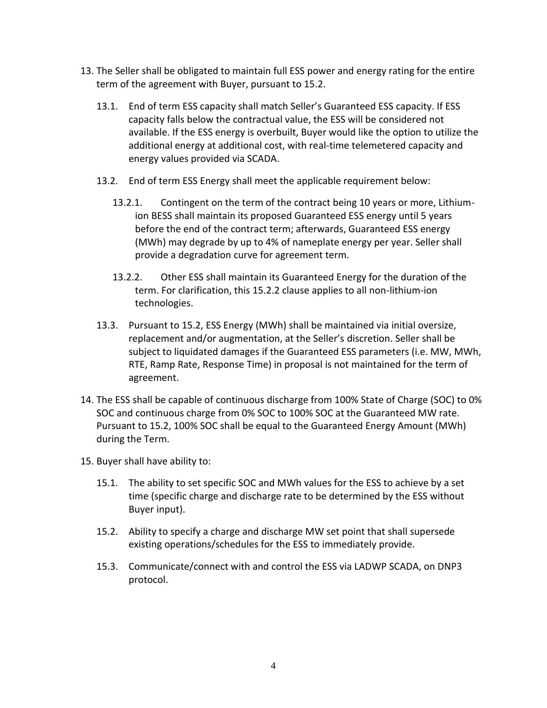- 13. The Seller shall be obligated to maintain full ESS power and energy rating for the entire term of the agreement with Buyer, pursuant to 15.2.
	- 13.1. End of term ESS capacity shall match Seller's Guaranteed ESS capacity. If ESS capacity falls below the contractual value, the ESS will be considered not available. If the ESS energy is overbuilt, Buyer would like the option to utilize the additional energy at additional cost, with real-time telemetered capacity and energy values provided via SCADA.
	- 13.2. End of term ESS Energy shall meet the applicable requirement below:
		- 13.2.1. Contingent on the term of the contract being 10 years or more, Lithiumion BESS shall maintain its proposed Guaranteed ESS energy until 5 years before the end of the contract term; afterwards, Guaranteed ESS energy (MWh) may degrade by up to 4% of nameplate energy per year. Seller shall provide a degradation curve for agreement term.
		- 13.2.2. Other ESS shall maintain its Guaranteed Energy for the duration of the term. For clarification, this 15.2.2 clause applies to all non-lithium-ion technologies.
	- 13.3. Pursuant to 15.2, ESS Energy (MWh) shall be maintained via initial oversize, replacement and/or augmentation, at the Seller's discretion. Seller shall be subject to liquidated damages if the Guaranteed ESS parameters (i.e. MW, MWh, RTE, Ramp Rate, Response Time) in proposal is not maintained for the term of agreement.
- 14. The ESS shall be capable of continuous discharge from 100% State of Charge (SOC) to 0% SOC and continuous charge from 0% SOC to 100% SOC at the Guaranteed MW rate. Pursuant to 15.2, 100% SOC shall be equal to the Guaranteed Energy Amount (MWh) during the Term.
- 15. Buyer shall have ability to:
	- 15.1. The ability to set specific SOC and MWh values for the ESS to achieve by a set time (specific charge and discharge rate to be determined by the ESS without Buyer input).
	- 15.2. Ability to specify a charge and discharge MW set point that shall supersede existing operations/schedules for the ESS to immediately provide.
	- 15.3. Communicate/connect with and control the ESS via LADWP SCADA, on DNP3 protocol.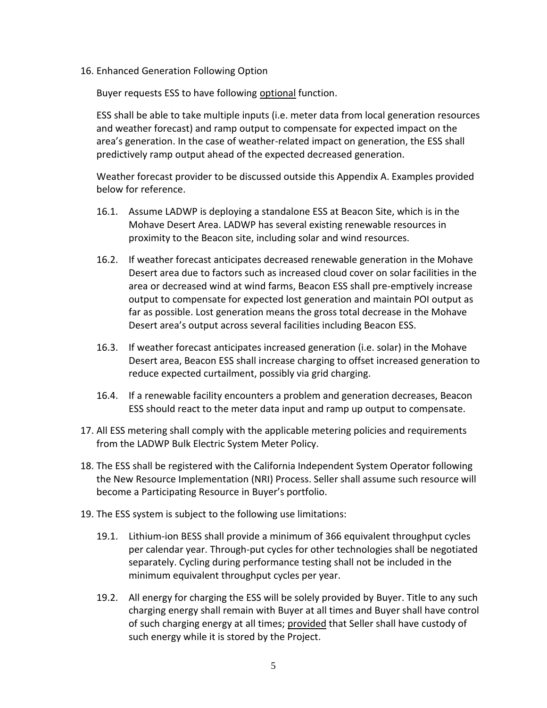16. Enhanced Generation Following Option

Buyer requests ESS to have following optional function.

ESS shall be able to take multiple inputs (i.e. meter data from local generation resources and weather forecast) and ramp output to compensate for expected impact on the area's generation. In the case of weather-related impact on generation, the ESS shall predictively ramp output ahead of the expected decreased generation.

Weather forecast provider to be discussed outside this Appendix A. Examples provided below for reference.

- 16.1. Assume LADWP is deploying a standalone ESS at Beacon Site, which is in the Mohave Desert Area. LADWP has several existing renewable resources in proximity to the Beacon site, including solar and wind resources.
- 16.2. If weather forecast anticipates decreased renewable generation in the Mohave Desert area due to factors such as increased cloud cover on solar facilities in the area or decreased wind at wind farms, Beacon ESS shall pre-emptively increase output to compensate for expected lost generation and maintain POI output as far as possible. Lost generation means the gross total decrease in the Mohave Desert area's output across several facilities including Beacon ESS.
- 16.3. If weather forecast anticipates increased generation (i.e. solar) in the Mohave Desert area, Beacon ESS shall increase charging to offset increased generation to reduce expected curtailment, possibly via grid charging.
- 16.4. If a renewable facility encounters a problem and generation decreases, Beacon ESS should react to the meter data input and ramp up output to compensate.
- 17. All ESS metering shall comply with the applicable metering policies and requirements from the LADWP Bulk Electric System Meter Policy.
- 18. The ESS shall be registered with the California Independent System Operator following the New Resource Implementation (NRI) Process. Seller shall assume such resource will become a Participating Resource in Buyer's portfolio.
- 19. The ESS system is subject to the following use limitations:
	- 19.1. Lithium-ion BESS shall provide a minimum of 366 equivalent throughput cycles per calendar year. Through-put cycles for other technologies shall be negotiated separately. Cycling during performance testing shall not be included in the minimum equivalent throughput cycles per year.
	- 19.2. All energy for charging the ESS will be solely provided by Buyer. Title to any such charging energy shall remain with Buyer at all times and Buyer shall have control of such charging energy at all times; provided that Seller shall have custody of such energy while it is stored by the Project.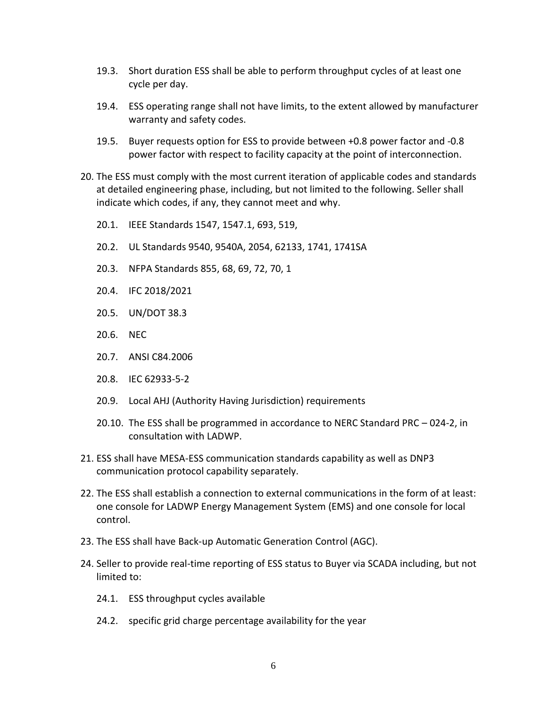- 19.3. Short duration ESS shall be able to perform throughput cycles of at least one cycle per day.
- 19.4. ESS operating range shall not have limits, to the extent allowed by manufacturer warranty and safety codes.
- 19.5. Buyer requests option for ESS to provide between +0.8 power factor and -0.8 power factor with respect to facility capacity at the point of interconnection.
- 20. The ESS must comply with the most current iteration of applicable codes and standards at detailed engineering phase, including, but not limited to the following. Seller shall indicate which codes, if any, they cannot meet and why.
	- 20.1. IEEE Standards 1547, 1547.1, 693, 519,
	- 20.2. UL Standards 9540, 9540A, 2054, 62133, 1741, 1741SA
	- 20.3. NFPA Standards 855, 68, 69, 72, 70, 1
	- 20.4. IFC 2018/2021
	- 20.5. UN/DOT 38.3
	- 20.6. NEC
	- 20.7. ANSI C84.2006
	- 20.8. IEC 62933-5-2
	- 20.9. Local AHJ (Authority Having Jurisdiction) requirements
	- 20.10. The ESS shall be programmed in accordance to NERC Standard PRC 024-2, in consultation with LADWP.
- 21. ESS shall have MESA-ESS communication standards capability as well as DNP3 communication protocol capability separately.
- 22. The ESS shall establish a connection to external communications in the form of at least: one console for LADWP Energy Management System (EMS) and one console for local control.
- 23. The ESS shall have Back-up Automatic Generation Control (AGC).
- 24. Seller to provide real-time reporting of ESS status to Buyer via SCADA including, but not limited to:
	- 24.1. ESS throughput cycles available
	- 24.2. specific grid charge percentage availability for the year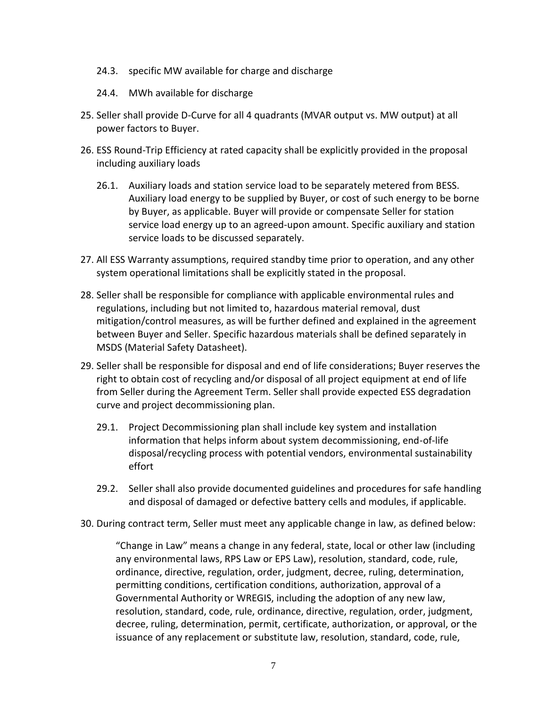- 24.3. specific MW available for charge and discharge
- 24.4. MWh available for discharge
- 25. Seller shall provide D-Curve for all 4 quadrants (MVAR output vs. MW output) at all power factors to Buyer.
- 26. ESS Round-Trip Efficiency at rated capacity shall be explicitly provided in the proposal including auxiliary loads
	- 26.1. Auxiliary loads and station service load to be separately metered from BESS. Auxiliary load energy to be supplied by Buyer, or cost of such energy to be borne by Buyer, as applicable. Buyer will provide or compensate Seller for station service load energy up to an agreed-upon amount. Specific auxiliary and station service loads to be discussed separately.
- 27. All ESS Warranty assumptions, required standby time prior to operation, and any other system operational limitations shall be explicitly stated in the proposal.
- 28. Seller shall be responsible for compliance with applicable environmental rules and regulations, including but not limited to, hazardous material removal, dust mitigation/control measures, as will be further defined and explained in the agreement between Buyer and Seller. Specific hazardous materials shall be defined separately in MSDS (Material Safety Datasheet).
- 29. Seller shall be responsible for disposal and end of life considerations; Buyer reserves the right to obtain cost of recycling and/or disposal of all project equipment at end of life from Seller during the Agreement Term. Seller shall provide expected ESS degradation curve and project decommissioning plan.
	- 29.1. Project Decommissioning plan shall include key system and installation information that helps inform about system decommissioning, end-of-life disposal/recycling process with potential vendors, environmental sustainability effort
	- 29.2. Seller shall also provide documented guidelines and procedures for safe handling and disposal of damaged or defective battery cells and modules, if applicable.
- 30. During contract term, Seller must meet any applicable change in law, as defined below:

"Change in Law" means a change in any federal, state, local or other law (including any environmental laws, RPS Law or EPS Law), resolution, standard, code, rule, ordinance, directive, regulation, order, judgment, decree, ruling, determination, permitting conditions, certification conditions, authorization, approval of a Governmental Authority or WREGIS, including the adoption of any new law, resolution, standard, code, rule, ordinance, directive, regulation, order, judgment, decree, ruling, determination, permit, certificate, authorization, or approval, or the issuance of any replacement or substitute law, resolution, standard, code, rule,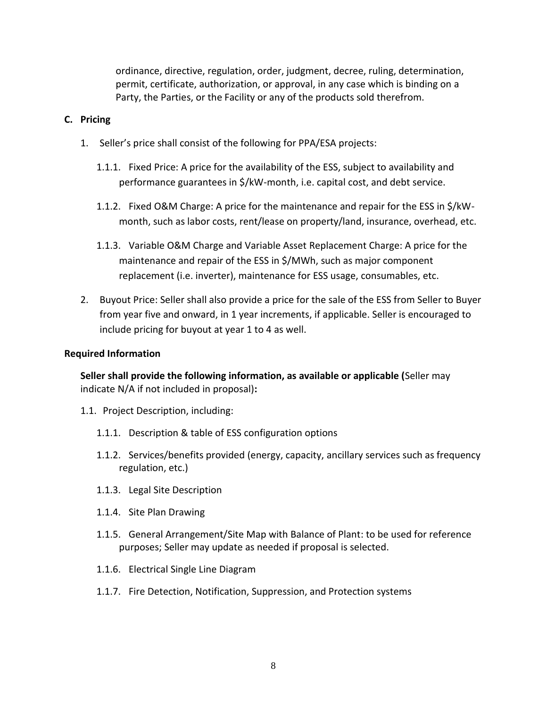ordinance, directive, regulation, order, judgment, decree, ruling, determination, permit, certificate, authorization, or approval, in any case which is binding on a Party, the Parties, or the Facility or any of the products sold therefrom.

### **C. Pricing**

- 1. Seller's price shall consist of the following for PPA/ESA projects:
	- 1.1.1. Fixed Price: A price for the availability of the ESS, subject to availability and performance guarantees in \$/kW-month, i.e. capital cost, and debt service.
	- 1.1.2. Fixed O&M Charge: A price for the maintenance and repair for the ESS in \$/kWmonth, such as labor costs, rent/lease on property/land, insurance, overhead, etc.
	- 1.1.3. Variable O&M Charge and Variable Asset Replacement Charge: A price for the maintenance and repair of the ESS in \$/MWh, such as major component replacement (i.e. inverter), maintenance for ESS usage, consumables, etc.
- 2. Buyout Price: Seller shall also provide a price for the sale of the ESS from Seller to Buyer from year five and onward, in 1 year increments, if applicable. Seller is encouraged to include pricing for buyout at year 1 to 4 as well.

### **Required Information**

**Seller shall provide the following information, as available or applicable (**Seller may indicate N/A if not included in proposal)**:**

- 1.1. Project Description, including:
	- 1.1.1. Description & table of ESS configuration options
	- 1.1.2. Services/benefits provided (energy, capacity, ancillary services such as frequency regulation, etc.)
	- 1.1.3. Legal Site Description
	- 1.1.4. Site Plan Drawing
	- 1.1.5. General Arrangement/Site Map with Balance of Plant: to be used for reference purposes; Seller may update as needed if proposal is selected.
	- 1.1.6. Electrical Single Line Diagram
	- 1.1.7. Fire Detection, Notification, Suppression, and Protection systems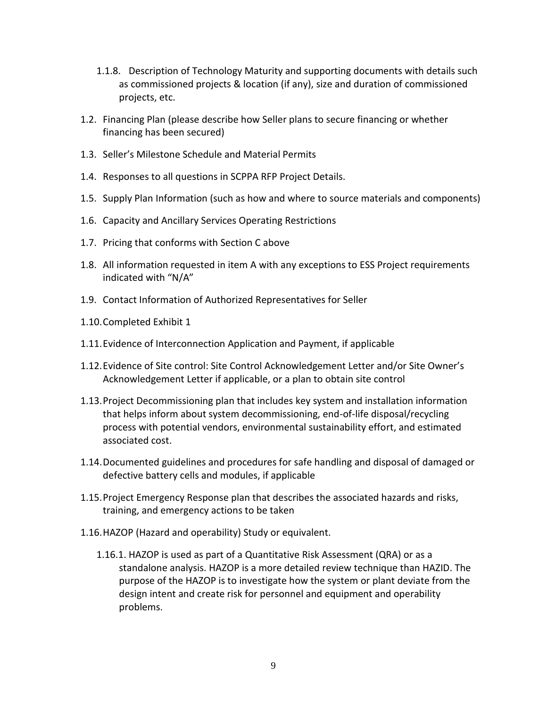- 1.1.8. Description of Technology Maturity and supporting documents with details such as commissioned projects & location (if any), size and duration of commissioned projects, etc.
- 1.2. Financing Plan (please describe how Seller plans to secure financing or whether financing has been secured)
- 1.3. Seller's Milestone Schedule and Material Permits
- 1.4. Responses to all questions in SCPPA RFP Project Details.
- 1.5. Supply Plan Information (such as how and where to source materials and components)
- 1.6. Capacity and Ancillary Services Operating Restrictions
- 1.7. Pricing that conforms with Section C above
- 1.8. All information requested in item A with any exceptions to ESS Project requirements indicated with "N/A"
- 1.9. Contact Information of Authorized Representatives for Seller
- 1.10.Completed Exhibit 1
- 1.11.Evidence of Interconnection Application and Payment, if applicable
- 1.12.Evidence of Site control: Site Control Acknowledgement Letter and/or Site Owner's Acknowledgement Letter if applicable, or a plan to obtain site control
- 1.13.Project Decommissioning plan that includes key system and installation information that helps inform about system decommissioning, end-of-life disposal/recycling process with potential vendors, environmental sustainability effort, and estimated associated cost.
- 1.14.Documented guidelines and procedures for safe handling and disposal of damaged or defective battery cells and modules, if applicable
- 1.15.Project Emergency Response plan that describes the associated hazards and risks, training, and emergency actions to be taken
- 1.16.HAZOP (Hazard and operability) Study or equivalent.
	- 1.16.1. HAZOP is used as part of a Quantitative Risk Assessment (QRA) or as a standalone analysis. HAZOP is a more detailed review technique than HAZID. The purpose of the HAZOP is to investigate how the system or plant deviate from the design intent and create risk for personnel and equipment and operability problems.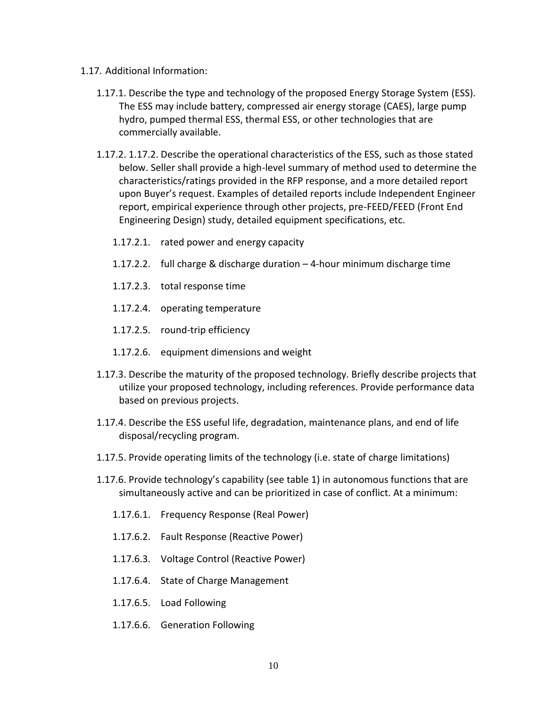- 1.17. Additional Information:
	- 1.17.1. Describe the type and technology of the proposed Energy Storage System (ESS). The ESS may include battery, compressed air energy storage (CAES), large pump hydro, pumped thermal ESS, thermal ESS, or other technologies that are commercially available.
	- 1.17.2. 1.17.2. Describe the operational characteristics of the ESS, such as those stated below. Seller shall provide a high-level summary of method used to determine the characteristics/ratings provided in the RFP response, and a more detailed report upon Buyer's request. Examples of detailed reports include Independent Engineer report, empirical experience through other projects, pre-FEED/FEED (Front End Engineering Design) study, detailed equipment specifications, etc.
		- 1.17.2.1. rated power and energy capacity
		- 1.17.2.2. full charge & discharge duration 4-hour minimum discharge time
		- 1.17.2.3. total response time
		- 1.17.2.4. operating temperature
		- 1.17.2.5. round-trip efficiency
		- 1.17.2.6. equipment dimensions and weight
	- 1.17.3. Describe the maturity of the proposed technology. Briefly describe projects that utilize your proposed technology, including references. Provide performance data based on previous projects.
	- 1.17.4. Describe the ESS useful life, degradation, maintenance plans, and end of life disposal/recycling program.
	- 1.17.5. Provide operating limits of the technology (i.e. state of charge limitations)
	- 1.17.6. Provide technology's capability (see table 1) in autonomous functions that are simultaneously active and can be prioritized in case of conflict. At a minimum:
		- 1.17.6.1. Frequency Response (Real Power)
		- 1.17.6.2. Fault Response (Reactive Power)
		- 1.17.6.3. Voltage Control (Reactive Power)
		- 1.17.6.4. State of Charge Management
		- 1.17.6.5. Load Following
		- 1.17.6.6. Generation Following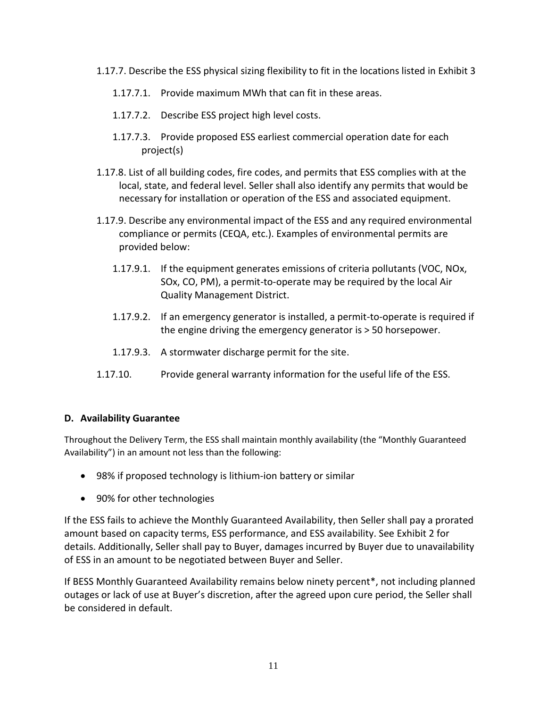- 1.17.7. Describe the ESS physical sizing flexibility to fit in the locations listed in Exhibit 3
	- 1.17.7.1. Provide maximum MWh that can fit in these areas.
	- 1.17.7.2. Describe ESS project high level costs.
	- 1.17.7.3. Provide proposed ESS earliest commercial operation date for each project(s)
- 1.17.8. List of all building codes, fire codes, and permits that ESS complies with at the local, state, and federal level. Seller shall also identify any permits that would be necessary for installation or operation of the ESS and associated equipment.
- 1.17.9. Describe any environmental impact of the ESS and any required environmental compliance or permits (CEQA, etc.). Examples of environmental permits are provided below:
	- 1.17.9.1. If the equipment generates emissions of criteria pollutants (VOC, NOx, SOx, CO, PM), a permit-to-operate may be required by the local Air Quality Management District.
	- 1.17.9.2. If an emergency generator is installed, a permit-to-operate is required if the engine driving the emergency generator is > 50 horsepower.
	- 1.17.9.3. A stormwater discharge permit for the site.
- 1.17.10. Provide general warranty information for the useful life of the ESS.

# **D. Availability Guarantee**

Throughout the Delivery Term, the ESS shall maintain monthly availability (the "Monthly Guaranteed Availability") in an amount not less than the following:

- 98% if proposed technology is lithium-ion battery or similar
- 90% for other technologies

If the ESS fails to achieve the Monthly Guaranteed Availability, then Seller shall pay a prorated amount based on capacity terms, ESS performance, and ESS availability. See Exhibit 2 for details. Additionally, Seller shall pay to Buyer, damages incurred by Buyer due to unavailability of ESS in an amount to be negotiated between Buyer and Seller.

If BESS Monthly Guaranteed Availability remains below ninety percent\*, not including planned outages or lack of use at Buyer's discretion, after the agreed upon cure period, the Seller shall be considered in default.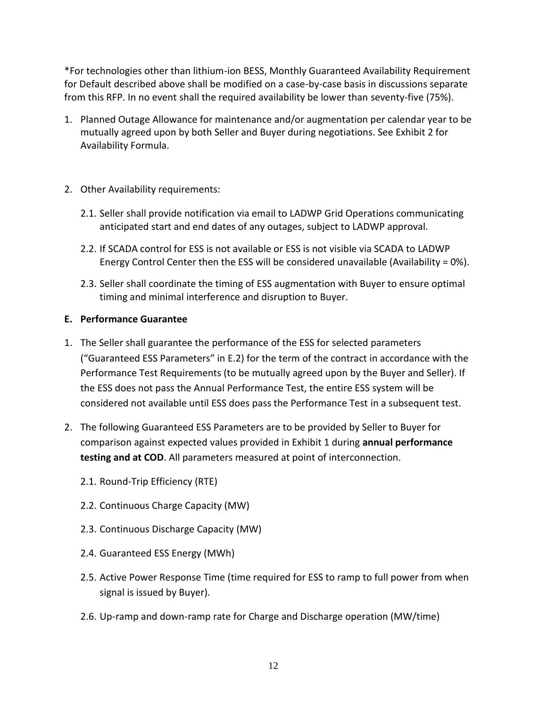\*For technologies other than lithium-ion BESS, Monthly Guaranteed Availability Requirement for Default described above shall be modified on a case-by-case basis in discussions separate from this RFP. In no event shall the required availability be lower than seventy-five (75%).

- 1. Planned Outage Allowance for maintenance and/or augmentation per calendar year to be mutually agreed upon by both Seller and Buyer during negotiations. See Exhibit 2 for Availability Formula.
- 2. Other Availability requirements:
	- 2.1. Seller shall provide notification via email to LADWP Grid Operations communicating anticipated start and end dates of any outages, subject to LADWP approval.
	- 2.2. If SCADA control for ESS is not available or ESS is not visible via SCADA to LADWP Energy Control Center then the ESS will be considered unavailable (Availability =  $0\%$ ).
	- 2.3. Seller shall coordinate the timing of ESS augmentation with Buyer to ensure optimal timing and minimal interference and disruption to Buyer.

# **E. Performance Guarantee**

- 1. The Seller shall guarantee the performance of the ESS for selected parameters ("Guaranteed ESS Parameters" in E.2) for the term of the contract in accordance with the Performance Test Requirements (to be mutually agreed upon by the Buyer and Seller). If the ESS does not pass the Annual Performance Test, the entire ESS system will be considered not available until ESS does pass the Performance Test in a subsequent test.
- 2. The following Guaranteed ESS Parameters are to be provided by Seller to Buyer for comparison against expected values provided in Exhibit 1 during **annual performance testing and at COD**. All parameters measured at point of interconnection.
	- 2.1. Round-Trip Efficiency (RTE)
	- 2.2. Continuous Charge Capacity (MW)
	- 2.3. Continuous Discharge Capacity (MW)
	- 2.4. Guaranteed ESS Energy (MWh)
	- 2.5. Active Power Response Time (time required for ESS to ramp to full power from when signal is issued by Buyer).
	- 2.6. Up-ramp and down-ramp rate for Charge and Discharge operation (MW/time)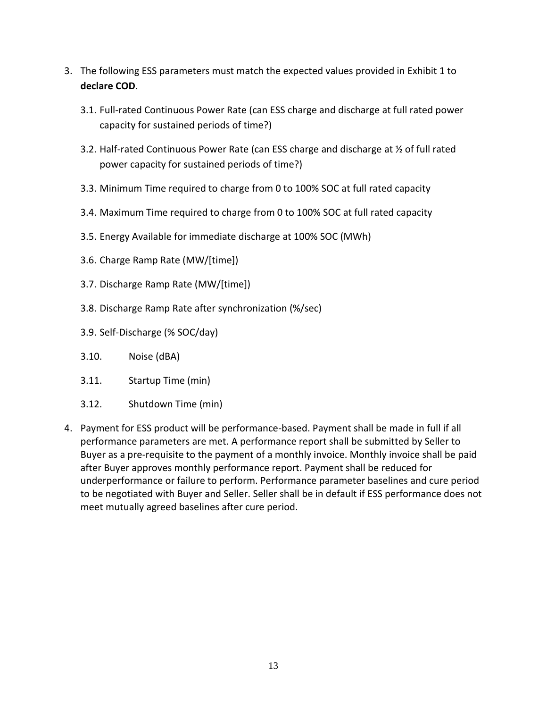- 3. The following ESS parameters must match the expected values provided in Exhibit 1 to **declare COD**.
	- 3.1. Full-rated Continuous Power Rate (can ESS charge and discharge at full rated power capacity for sustained periods of time?)
	- 3.2. Half-rated Continuous Power Rate (can ESS charge and discharge at ½ of full rated power capacity for sustained periods of time?)
	- 3.3. Minimum Time required to charge from 0 to 100% SOC at full rated capacity
	- 3.4. Maximum Time required to charge from 0 to 100% SOC at full rated capacity
	- 3.5. Energy Available for immediate discharge at 100% SOC (MWh)
	- 3.6. Charge Ramp Rate (MW/[time])
	- 3.7. Discharge Ramp Rate (MW/[time])
	- 3.8. Discharge Ramp Rate after synchronization (%/sec)
	- 3.9. Self-Discharge (% SOC/day)
	- 3.10. Noise (dBA)
	- 3.11. Startup Time (min)
	- 3.12. Shutdown Time (min)
- 4. Payment for ESS product will be performance-based. Payment shall be made in full if all performance parameters are met. A performance report shall be submitted by Seller to Buyer as a pre-requisite to the payment of a monthly invoice. Monthly invoice shall be paid after Buyer approves monthly performance report. Payment shall be reduced for underperformance or failure to perform. Performance parameter baselines and cure period to be negotiated with Buyer and Seller. Seller shall be in default if ESS performance does not meet mutually agreed baselines after cure period.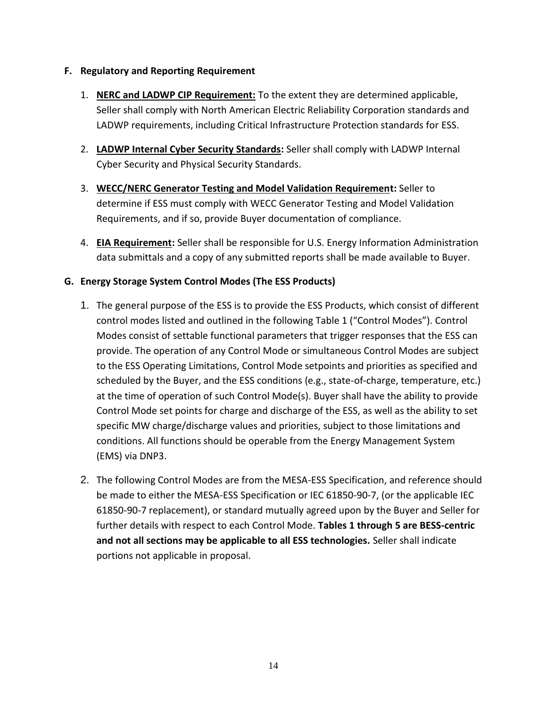### **F. Regulatory and Reporting Requirement**

- 1. **NERC and LADWP CIP Requirement:** To the extent they are determined applicable, Seller shall comply with North American Electric Reliability Corporation standards and LADWP requirements, including Critical Infrastructure Protection standards for ESS.
- 2. **LADWP Internal Cyber Security Standards:** Seller shall comply with LADWP Internal Cyber Security and Physical Security Standards.
- 3. **WECC/NERC Generator Testing and Model Validation Requirement:** Seller to determine if ESS must comply with WECC Generator Testing and Model Validation Requirements, and if so, provide Buyer documentation of compliance.
- 4. **EIA Requirement:** Seller shall be responsible for U.S. Energy Information Administration data submittals and a copy of any submitted reports shall be made available to Buyer.

# **G. Energy Storage System Control Modes (The ESS Products)**

- 1. The general purpose of the ESS is to provide the ESS Products, which consist of different control modes listed and outlined in the following Table 1 ("Control Modes"). Control Modes consist of settable functional parameters that trigger responses that the ESS can provide. The operation of any Control Mode or simultaneous Control Modes are subject to the ESS Operating Limitations, Control Mode setpoints and priorities as specified and scheduled by the Buyer, and the ESS conditions (e.g., state-of-charge, temperature, etc.) at the time of operation of such Control Mode(s). Buyer shall have the ability to provide Control Mode set points for charge and discharge of the ESS, as well as the ability to set specific MW charge/discharge values and priorities, subject to those limitations and conditions. All functions should be operable from the Energy Management System (EMS) via DNP3.
- 2. The following Control Modes are from the MESA-ESS Specification, and reference should be made to either the MESA-ESS Specification or IEC 61850-90-7, (or the applicable IEC 61850-90-7 replacement), or standard mutually agreed upon by the Buyer and Seller for further details with respect to each Control Mode. **Tables 1 through 5 are BESS-centric and not all sections may be applicable to all ESS technologies.** Seller shall indicate portions not applicable in proposal.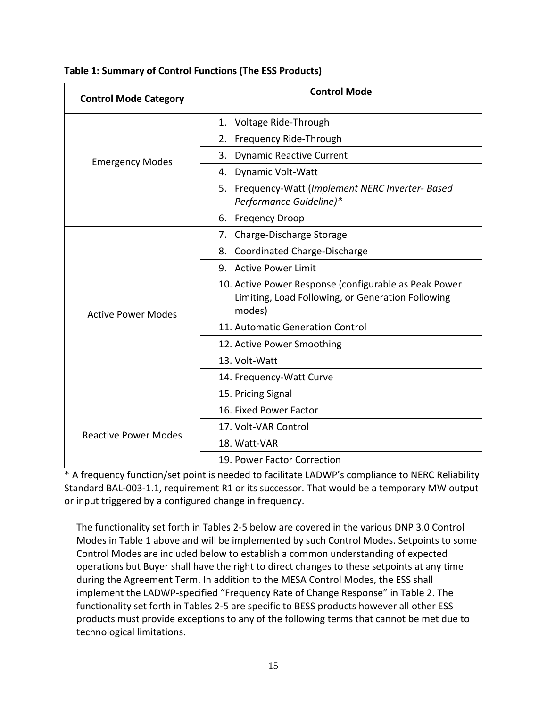| <b>Control Mode Category</b> | <b>Control Mode</b>                                                                                                  |
|------------------------------|----------------------------------------------------------------------------------------------------------------------|
|                              | Voltage Ride-Through<br>1.                                                                                           |
|                              | Frequency Ride-Through<br>2.                                                                                         |
| <b>Emergency Modes</b>       | 3. Dynamic Reactive Current                                                                                          |
|                              | Dynamic Volt-Watt<br>4.                                                                                              |
|                              | 5. Frequency-Watt (Implement NERC Inverter- Based<br>Performance Guideline)*                                         |
|                              | 6. Fregency Droop                                                                                                    |
|                              | 7. Charge-Discharge Storage                                                                                          |
|                              | 8. Coordinated Charge-Discharge                                                                                      |
|                              | 9. Active Power Limit                                                                                                |
| <b>Active Power Modes</b>    | 10. Active Power Response (configurable as Peak Power<br>Limiting, Load Following, or Generation Following<br>modes) |
|                              | 11. Automatic Generation Control                                                                                     |
|                              | 12. Active Power Smoothing                                                                                           |
|                              | 13. Volt-Watt                                                                                                        |
|                              | 14. Frequency-Watt Curve                                                                                             |
|                              | 15. Pricing Signal                                                                                                   |
|                              | 16. Fixed Power Factor                                                                                               |
| <b>Reactive Power Modes</b>  | 17. Volt-VAR Control                                                                                                 |
|                              | 18. Watt-VAR                                                                                                         |
|                              | 19. Power Factor Correction                                                                                          |

\* A frequency function/set point is needed to facilitate LADWP's compliance to NERC Reliability Standard BAL-003-1.1, requirement R1 or its successor. That would be a temporary MW output or input triggered by a configured change in frequency.

The functionality set forth in Tables 2-5 below are covered in the various DNP 3.0 Control Modes in Table 1 above and will be implemented by such Control Modes. Setpoints to some Control Modes are included below to establish a common understanding of expected operations but Buyer shall have the right to direct changes to these setpoints at any time during the Agreement Term. In addition to the MESA Control Modes, the ESS shall implement the LADWP-specified "Frequency Rate of Change Response" in Table 2. The functionality set forth in Tables 2-5 are specific to BESS products however all other ESS products must provide exceptions to any of the following terms that cannot be met due to technological limitations.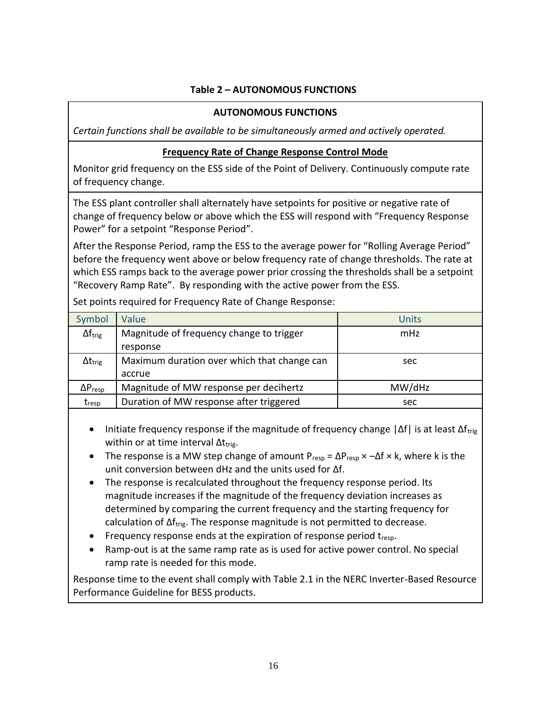# **Table 2 – AUTONOMOUS FUNCTIONS**

### **AUTONOMOUS FUNCTIONS**

*Certain functions shall be available to be simultaneously armed and actively operated.* 

### **Frequency Rate of Change Response Control Mode**

Monitor grid frequency on the ESS side of the Point of Delivery. Continuously compute rate of frequency change.

The ESS plant controller shall alternately have setpoints for positive or negative rate of change of frequency below or above which the ESS will respond with "Frequency Response Power" for a setpoint "Response Period".

After the Response Period, ramp the ESS to the average power for "Rolling Average Period" before the frequency went above or below frequency rate of change thresholds. The rate at which ESS ramps back to the average power prior crossing the thresholds shall be a setpoint "Recovery Ramp Rate". By responding with the active power from the ESS.

| Symbol                       | Value                                       | <b>Units</b> |
|------------------------------|---------------------------------------------|--------------|
| $\Delta f_{\text{trig}}$     | Magnitude of frequency change to trigger    | mHz          |
|                              | response                                    |              |
| $\Delta t_{\rm trig}$        | Maximum duration over which that change can | sec          |
|                              | accrue                                      |              |
| $\Delta P_{resp}$            | Magnitude of MW response per decihertz      | MW/dHz       |
| $\mathsf{t}_{\mathsf{resp}}$ | Duration of MW response after triggered     | sec          |

Set points required for Frequency Rate of Change Response:

- Initiate frequency response if the magnitude of frequency change  $|\Delta f|$  is at least  $\Delta f_{\text{trig}}$ within or at time interval  $\Delta t_{trig.}$
- The response is a MW step change of amount  $P_{resp} = \Delta P_{resp} \times -\Delta f \times k$ , where k is the unit conversion between dHz and the units used for Δf.
- The response is recalculated throughout the frequency response period. Its magnitude increases if the magnitude of the frequency deviation increases as determined by comparing the current frequency and the starting frequency for calculation of  $\Delta f_{\text{trig}}$ . The response magnitude is not permitted to decrease.
- Frequency response ends at the expiration of response period  $t_{resp}$ .
- Ramp-out is at the same ramp rate as is used for active power control. No special ramp rate is needed for this mode.

Response time to the event shall comply with Table 2.1 in the NERC Inverter-Based Resource Performance Guideline for BESS products.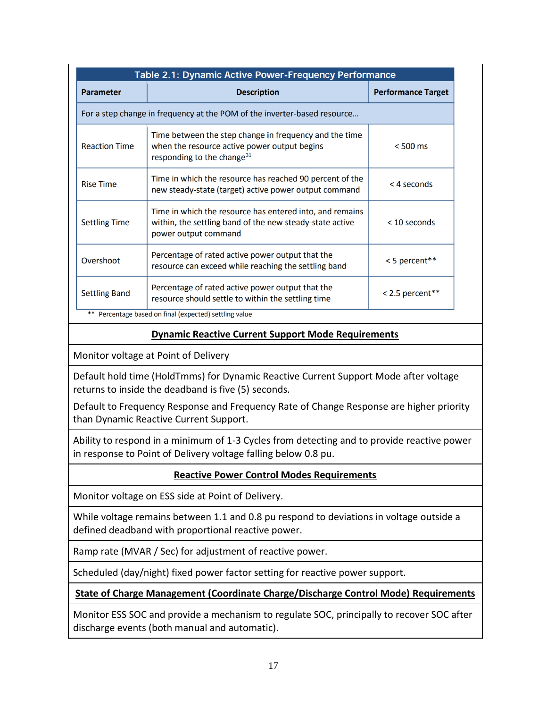| Table 2.1: Dynamic Active Power-Frequency Performance                    |                                                                                                                                                  |                           |  |
|--------------------------------------------------------------------------|--------------------------------------------------------------------------------------------------------------------------------------------------|---------------------------|--|
| <b>Parameter</b>                                                         | <b>Description</b>                                                                                                                               | <b>Performance Target</b> |  |
| For a step change in frequency at the POM of the inverter-based resource |                                                                                                                                                  |                           |  |
| <b>Reaction Time</b>                                                     | Time between the step change in frequency and the time<br>when the resource active power output begins<br>responding to the change <sup>31</sup> | $< 500$ ms                |  |
| <b>Rise Time</b>                                                         | Time in which the resource has reached 90 percent of the<br>new steady-state (target) active power output command                                | < 4 seconds               |  |
| <b>Settling Time</b>                                                     | Time in which the resource has entered into, and remains<br>within, the settling band of the new steady-state active<br>power output command     | $<$ 10 seconds            |  |
| Overshoot                                                                | Percentage of rated active power output that the<br>resource can exceed while reaching the settling band                                         | < 5 percent**             |  |
| <b>Settling Band</b>                                                     | Percentage of rated active power output that the<br>resource should settle to within the settling time                                           | $< 2.5$ percent**         |  |

Percentage based on final (expected) settling value

### **Dynamic Reactive Current Support Mode Requirements**

Monitor voltage at Point of Delivery

Default hold time (HoldTmms) for Dynamic Reactive Current Support Mode after voltage returns to inside the deadband is five (5) seconds.

Default to Frequency Response and Frequency Rate of Change Response are higher priority than Dynamic Reactive Current Support.

Ability to respond in a minimum of 1-3 Cycles from detecting and to provide reactive power in response to Point of Delivery voltage falling below 0.8 pu.

# **Reactive Power Control Modes Requirements**

Monitor voltage on ESS side at Point of Delivery.

While voltage remains between 1.1 and 0.8 pu respond to deviations in voltage outside a defined deadband with proportional reactive power.

Ramp rate (MVAR / Sec) for adjustment of reactive power.

Scheduled (day/night) fixed power factor setting for reactive power support.

# **State of Charge Management (Coordinate Charge/Discharge Control Mode) Requirements**

Monitor ESS SOC and provide a mechanism to regulate SOC, principally to recover SOC after discharge events (both manual and automatic).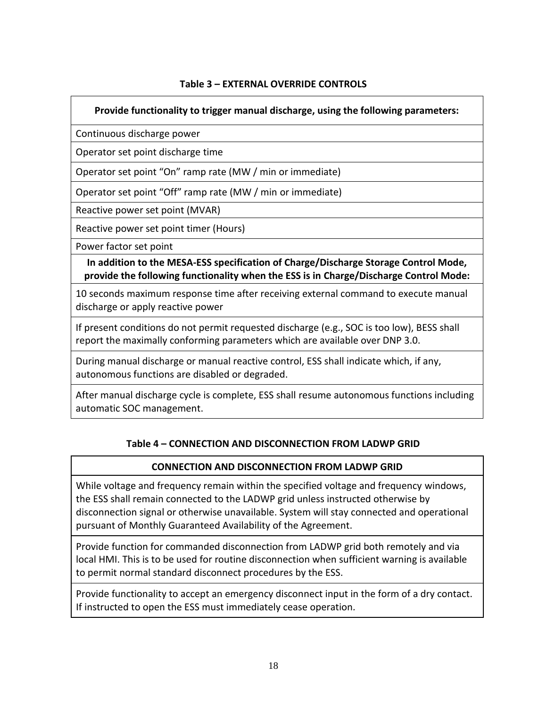### **Table 3 – EXTERNAL OVERRIDE CONTROLS**

### **Provide functionality to trigger manual discharge, using the following parameters:**

Continuous discharge power

Operator set point discharge time

Operator set point "On" ramp rate (MW / min or immediate)

Operator set point "Off" ramp rate (MW / min or immediate)

Reactive power set point (MVAR)

Reactive power set point timer (Hours)

Power factor set point

**In addition to the MESA-ESS specification of Charge/Discharge Storage Control Mode, provide the following functionality when the ESS is in Charge/Discharge Control Mode:**

10 seconds maximum response time after receiving external command to execute manual discharge or apply reactive power

If present conditions do not permit requested discharge (e.g., SOC is too low), BESS shall report the maximally conforming parameters which are available over DNP 3.0.

During manual discharge or manual reactive control, ESS shall indicate which, if any, autonomous functions are disabled or degraded.

After manual discharge cycle is complete, ESS shall resume autonomous functions including automatic SOC management.

### **Table 4 – CONNECTION AND DISCONNECTION FROM LADWP GRID**

### **CONNECTION AND DISCONNECTION FROM LADWP GRID**

While voltage and frequency remain within the specified voltage and frequency windows, the ESS shall remain connected to the LADWP grid unless instructed otherwise by disconnection signal or otherwise unavailable. System will stay connected and operational pursuant of Monthly Guaranteed Availability of the Agreement.

Provide function for commanded disconnection from LADWP grid both remotely and via local HMI. This is to be used for routine disconnection when sufficient warning is available to permit normal standard disconnect procedures by the ESS.

Provide functionality to accept an emergency disconnect input in the form of a dry contact. If instructed to open the ESS must immediately cease operation*.*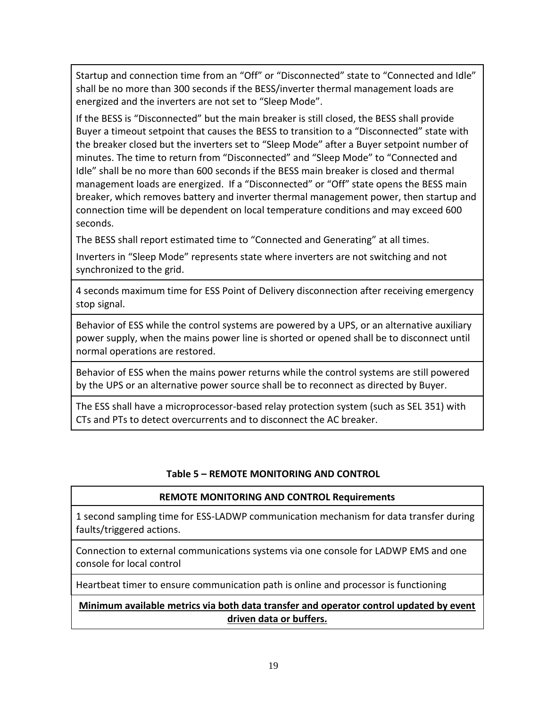Startup and connection time from an "Off" or "Disconnected" state to "Connected and Idle" shall be no more than 300 seconds if the BESS/inverter thermal management loads are energized and the inverters are not set to "Sleep Mode".

If the BESS is "Disconnected" but the main breaker is still closed, the BESS shall provide Buyer a timeout setpoint that causes the BESS to transition to a "Disconnected" state with the breaker closed but the inverters set to "Sleep Mode" after a Buyer setpoint number of minutes. The time to return from "Disconnected" and "Sleep Mode" to "Connected and Idle" shall be no more than 600 seconds if the BESS main breaker is closed and thermal management loads are energized. If a "Disconnected" or "Off" state opens the BESS main breaker, which removes battery and inverter thermal management power, then startup and connection time will be dependent on local temperature conditions and may exceed 600 seconds.

The BESS shall report estimated time to "Connected and Generating" at all times.

Inverters in "Sleep Mode" represents state where inverters are not switching and not synchronized to the grid.

4 seconds maximum time for ESS Point of Delivery disconnection after receiving emergency stop signal.

Behavior of ESS while the control systems are powered by a UPS, or an alternative auxiliary power supply, when the mains power line is shorted or opened shall be to disconnect until normal operations are restored.

Behavior of ESS when the mains power returns while the control systems are still powered by the UPS or an alternative power source shall be to reconnect as directed by Buyer.

The ESS shall have a microprocessor-based relay protection system (such as SEL 351) with CTs and PTs to detect overcurrents and to disconnect the AC breaker.

# **Table 5 – REMOTE MONITORING AND CONTROL**

### **REMOTE MONITORING AND CONTROL Requirements**

1 second sampling time for ESS-LADWP communication mechanism for data transfer during faults/triggered actions.

Connection to external communications systems via one console for LADWP EMS and one console for local control

Heartbeat timer to ensure communication path is online and processor is functioning

# **Minimum available metrics via both data transfer and operator control updated by event driven data or buffers.**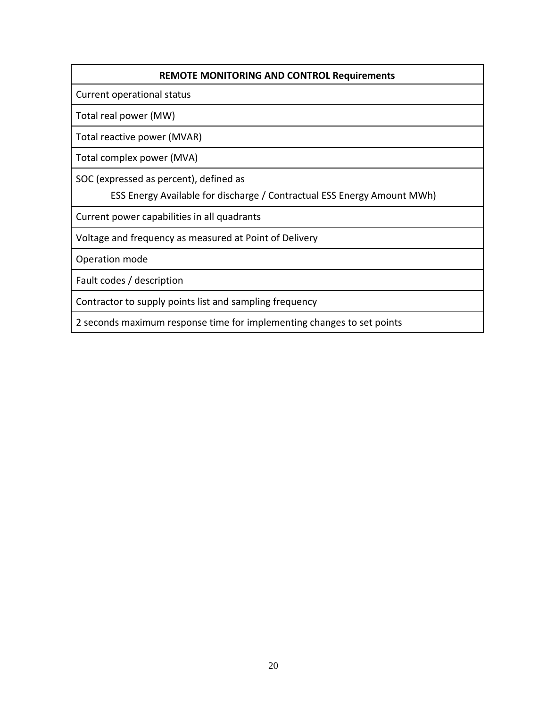### **REMOTE MONITORING AND CONTROL Requirements**

Current operational status

Total real power (MW)

Total reactive power (MVAR)

Total complex power (MVA)

SOC (expressed as percent), defined as

ESS Energy Available for discharge / Contractual ESS Energy Amount MWh)

Current power capabilities in all quadrants

Voltage and frequency as measured at Point of Delivery

Operation mode

Fault codes / description

Contractor to supply points list and sampling frequency

2 seconds maximum response time for implementing changes to set points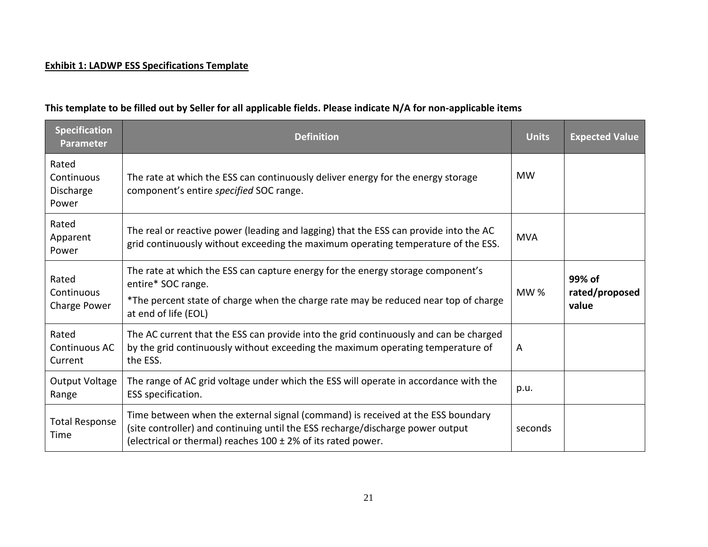# **Exhibit 1: LADWP ESS Specifications Template**

# **This template to be filled out by Seller for all applicable fields. Please indicate N/A for non-applicable items**

| <b>Specification</b><br><b>Parameter</b>  | <b>Definition</b>                                                                                                                                                                                                                      | <b>Units</b> | <b>Expected Value</b>             |
|-------------------------------------------|----------------------------------------------------------------------------------------------------------------------------------------------------------------------------------------------------------------------------------------|--------------|-----------------------------------|
| Rated<br>Continuous<br>Discharge<br>Power | The rate at which the ESS can continuously deliver energy for the energy storage<br>component's entire specified SOC range.                                                                                                            | <b>MW</b>    |                                   |
| Rated<br>Apparent<br>Power                | The real or reactive power (leading and lagging) that the ESS can provide into the AC<br>grid continuously without exceeding the maximum operating temperature of the ESS.                                                             | <b>MVA</b>   |                                   |
| Rated<br>Continuous<br>Charge Power       | The rate at which the ESS can capture energy for the energy storage component's<br>entire* SOC range.<br>*The percent state of charge when the charge rate may be reduced near top of charge<br>at end of life (EOL)                   | MW%          | 99% of<br>rated/proposed<br>value |
| Rated<br>Continuous AC<br>Current         | The AC current that the ESS can provide into the grid continuously and can be charged<br>by the grid continuously without exceeding the maximum operating temperature of<br>the ESS.                                                   | A            |                                   |
| Output Voltage<br>Range                   | The range of AC grid voltage under which the ESS will operate in accordance with the<br>ESS specification.                                                                                                                             | p.u.         |                                   |
| <b>Total Response</b><br>Time             | Time between when the external signal (command) is received at the ESS boundary<br>(site controller) and continuing until the ESS recharge/discharge power output<br>(electrical or thermal) reaches $100 \pm 2\%$ of its rated power. | seconds      |                                   |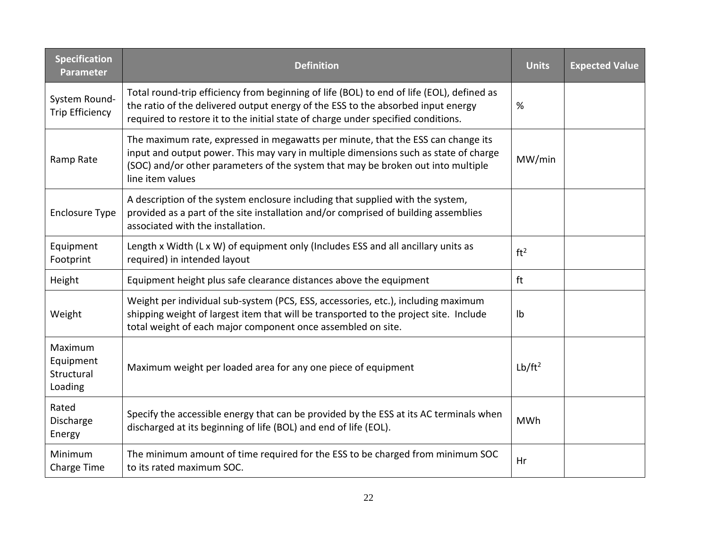| <b>Specification</b><br>Parameter             | <b>Definition</b>                                                                                                                                                                                                                                                                | <b>Units</b>       | <b>Expected Value</b> |
|-----------------------------------------------|----------------------------------------------------------------------------------------------------------------------------------------------------------------------------------------------------------------------------------------------------------------------------------|--------------------|-----------------------|
| System Round-<br><b>Trip Efficiency</b>       | Total round-trip efficiency from beginning of life (BOL) to end of life (EOL), defined as<br>the ratio of the delivered output energy of the ESS to the absorbed input energy<br>required to restore it to the initial state of charge under specified conditions.               | %                  |                       |
| Ramp Rate                                     | The maximum rate, expressed in megawatts per minute, that the ESS can change its<br>input and output power. This may vary in multiple dimensions such as state of charge<br>(SOC) and/or other parameters of the system that may be broken out into multiple<br>line item values | MW/min             |                       |
| <b>Enclosure Type</b>                         | A description of the system enclosure including that supplied with the system,<br>provided as a part of the site installation and/or comprised of building assemblies<br>associated with the installation.                                                                       |                    |                       |
| Equipment<br>Footprint                        | Length x Width (L x W) of equipment only (Includes ESS and all ancillary units as<br>required) in intended layout                                                                                                                                                                | ft <sup>2</sup>    |                       |
| Height                                        | Equipment height plus safe clearance distances above the equipment                                                                                                                                                                                                               | ft                 |                       |
| Weight                                        | Weight per individual sub-system (PCS, ESS, accessories, etc.), including maximum<br>shipping weight of largest item that will be transported to the project site. Include<br>total weight of each major component once assembled on site.                                       | Ib                 |                       |
| Maximum<br>Equipment<br>Structural<br>Loading | Maximum weight per loaded area for any one piece of equipment                                                                                                                                                                                                                    | Lb/ft <sup>2</sup> |                       |
| Rated<br>Discharge<br>Energy                  | Specify the accessible energy that can be provided by the ESS at its AC terminals when<br>discharged at its beginning of life (BOL) and end of life (EOL).                                                                                                                       | <b>MWh</b>         |                       |
| Minimum<br>Charge Time                        | The minimum amount of time required for the ESS to be charged from minimum SOC<br>to its rated maximum SOC.                                                                                                                                                                      | Hr                 |                       |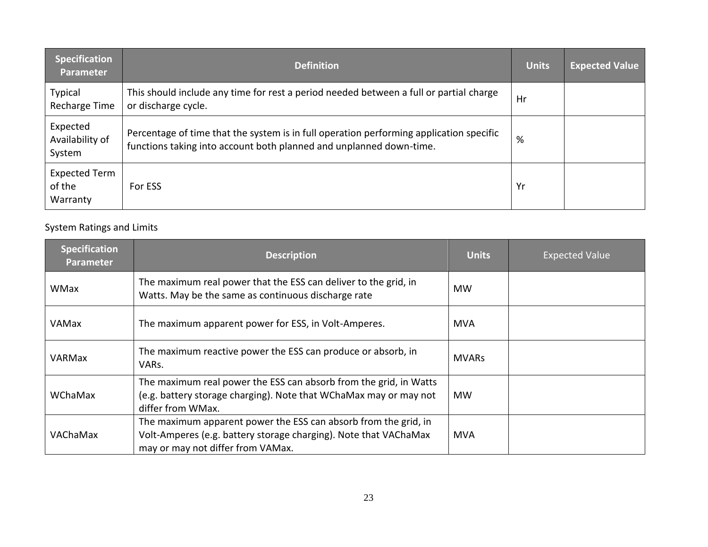| <b>Specification</b><br><b>Parameter</b> | <b>Definition</b>                                                                                                                                              | <b>Units</b> | <b>Expected Value</b> |
|------------------------------------------|----------------------------------------------------------------------------------------------------------------------------------------------------------------|--------------|-----------------------|
| Typical<br>Recharge Time                 | This should include any time for rest a period needed between a full or partial charge<br>or discharge cycle.                                                  | Hr           |                       |
| Expected<br>Availability of<br>System    | Percentage of time that the system is in full operation performing application specific<br>functions taking into account both planned and unplanned down-time. | %            |                       |
| Expected Term<br>of the<br>Warranty      | For ESS                                                                                                                                                        | Yr           |                       |

# System Ratings and Limits

| <b>Specification</b><br><b>Parameter</b> | <b>Description</b>                                                                                                                                                       | <b>Units</b> | <b>Expected Value</b> |
|------------------------------------------|--------------------------------------------------------------------------------------------------------------------------------------------------------------------------|--------------|-----------------------|
| <b>WMax</b>                              | The maximum real power that the ESS can deliver to the grid, in<br>Watts. May be the same as continuous discharge rate                                                   | <b>MW</b>    |                       |
| <b>VAMax</b>                             | The maximum apparent power for ESS, in Volt-Amperes.                                                                                                                     | <b>MVA</b>   |                       |
| VARMax                                   | The maximum reactive power the ESS can produce or absorb, in<br>VARs.                                                                                                    | <b>MVARs</b> |                       |
| WChaMax                                  | The maximum real power the ESS can absorb from the grid, in Watts<br>(e.g. battery storage charging). Note that WChaMax may or may not<br>differ from WMax.              | <b>MW</b>    |                       |
| VAChaMax                                 | The maximum apparent power the ESS can absorb from the grid, in<br>Volt-Amperes (e.g. battery storage charging). Note that VAChaMax<br>may or may not differ from VAMax. | <b>MVA</b>   |                       |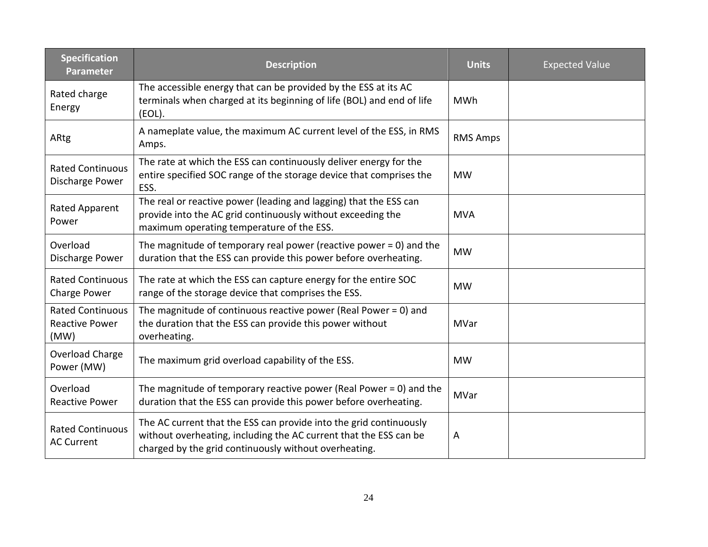| <b>Specification</b><br><b>Parameter</b>                 | <b>Description</b>                                                                                                                                                                               | <b>Units</b>    | <b>Expected Value</b> |
|----------------------------------------------------------|--------------------------------------------------------------------------------------------------------------------------------------------------------------------------------------------------|-----------------|-----------------------|
| Rated charge<br>Energy                                   | The accessible energy that can be provided by the ESS at its AC<br>terminals when charged at its beginning of life (BOL) and end of life<br>(EOL).                                               | <b>MWh</b>      |                       |
| ARtg                                                     | A nameplate value, the maximum AC current level of the ESS, in RMS<br>Amps.                                                                                                                      | <b>RMS Amps</b> |                       |
| <b>Rated Continuous</b><br>Discharge Power               | The rate at which the ESS can continuously deliver energy for the<br>entire specified SOC range of the storage device that comprises the<br>ESS.                                                 | <b>MW</b>       |                       |
| Rated Apparent<br>Power                                  | The real or reactive power (leading and lagging) that the ESS can<br>provide into the AC grid continuously without exceeding the<br>maximum operating temperature of the ESS.                    | <b>MVA</b>      |                       |
| Overload<br>Discharge Power                              | The magnitude of temporary real power (reactive power $= 0$ ) and the<br>duration that the ESS can provide this power before overheating.                                                        | <b>MW</b>       |                       |
| <b>Rated Continuous</b><br>Charge Power                  | The rate at which the ESS can capture energy for the entire SOC<br>range of the storage device that comprises the ESS.                                                                           | <b>MW</b>       |                       |
| <b>Rated Continuous</b><br><b>Reactive Power</b><br>(MW) | The magnitude of continuous reactive power (Real Power = $0$ ) and<br>the duration that the ESS can provide this power without<br>overheating.                                                   | <b>MVar</b>     |                       |
| Overload Charge<br>Power (MW)                            | The maximum grid overload capability of the ESS.                                                                                                                                                 | <b>MW</b>       |                       |
| Overload<br><b>Reactive Power</b>                        | The magnitude of temporary reactive power (Real Power = 0) and the<br>duration that the ESS can provide this power before overheating.                                                           | MVar            |                       |
| <b>Rated Continuous</b><br><b>AC Current</b>             | The AC current that the ESS can provide into the grid continuously<br>without overheating, including the AC current that the ESS can be<br>charged by the grid continuously without overheating. | Α               |                       |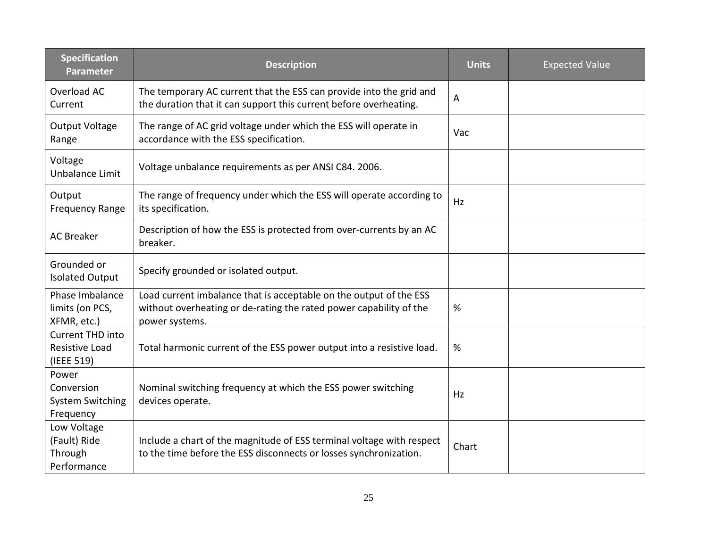| <b>Specification</b><br><b>Parameter</b>                    | <b>Description</b>                                                                                                                                         | <b>Units</b> | <b>Expected Value</b> |
|-------------------------------------------------------------|------------------------------------------------------------------------------------------------------------------------------------------------------------|--------------|-----------------------|
| Overload AC<br>Current                                      | The temporary AC current that the ESS can provide into the grid and<br>the duration that it can support this current before overheating.                   | Α            |                       |
| <b>Output Voltage</b><br>Range                              | The range of AC grid voltage under which the ESS will operate in<br>accordance with the ESS specification.                                                 | Vac          |                       |
| Voltage<br>Unbalance Limit                                  | Voltage unbalance requirements as per ANSI C84. 2006.                                                                                                      |              |                       |
| Output<br><b>Frequency Range</b>                            | The range of frequency under which the ESS will operate according to<br>its specification.                                                                 | Hz           |                       |
| <b>AC Breaker</b>                                           | Description of how the ESS is protected from over-currents by an AC<br>breaker.                                                                            |              |                       |
| Grounded or<br><b>Isolated Output</b>                       | Specify grounded or isolated output.                                                                                                                       |              |                       |
| Phase Imbalance<br>limits (on PCS,<br>XFMR, etc.)           | Load current imbalance that is acceptable on the output of the ESS<br>without overheating or de-rating the rated power capability of the<br>power systems. | %            |                       |
| Current THD into<br><b>Resistive Load</b><br>(IEEE 519)     | Total harmonic current of the ESS power output into a resistive load.                                                                                      | %            |                       |
| Power<br>Conversion<br><b>System Switching</b><br>Frequency | Nominal switching frequency at which the ESS power switching<br>devices operate.                                                                           | Hz           |                       |
| Low Voltage<br>(Fault) Ride<br>Through<br>Performance       | Include a chart of the magnitude of ESS terminal voltage with respect<br>to the time before the ESS disconnects or losses synchronization.                 | Chart        |                       |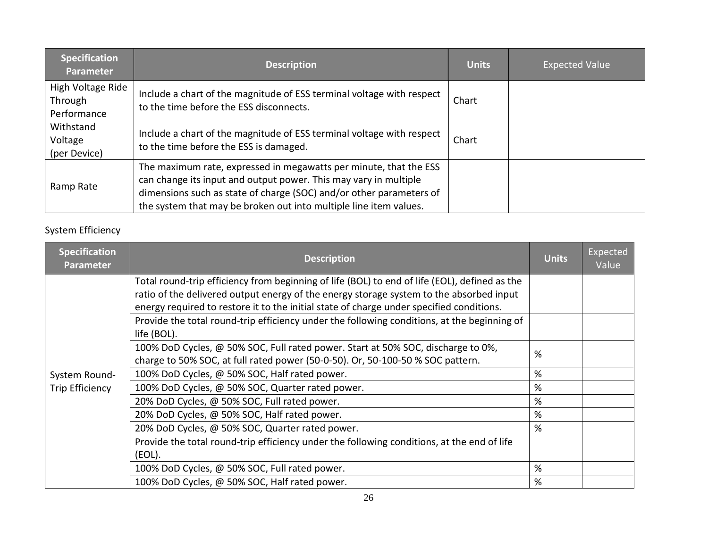| <b>Specification</b><br><b>Parameter</b>    | <b>Description</b>                                                                                                                                                                                                                                                                | <b>Units</b> | <b>Expected Value</b> |
|---------------------------------------------|-----------------------------------------------------------------------------------------------------------------------------------------------------------------------------------------------------------------------------------------------------------------------------------|--------------|-----------------------|
| High Voltage Ride<br>Through<br>Performance | Include a chart of the magnitude of ESS terminal voltage with respect<br>to the time before the ESS disconnects.                                                                                                                                                                  | Chart        |                       |
| Withstand<br>Voltage<br>(per Device)        | Include a chart of the magnitude of ESS terminal voltage with respect<br>to the time before the ESS is damaged.                                                                                                                                                                   | Chart        |                       |
| Ramp Rate                                   | The maximum rate, expressed in megawatts per minute, that the ESS<br>can change its input and output power. This may vary in multiple<br>dimensions such as state of charge (SOC) and/or other parameters of<br>the system that may be broken out into multiple line item values. |              |                       |

# System Efficiency

| <b>Specification</b><br><b>Parameter</b> | <b>Description</b>                                                                            | <b>Units</b> | Expected<br>Value |
|------------------------------------------|-----------------------------------------------------------------------------------------------|--------------|-------------------|
|                                          | Total round-trip efficiency from beginning of life (BOL) to end of life (EOL), defined as the |              |                   |
|                                          | ratio of the delivered output energy of the energy storage system to the absorbed input       |              |                   |
|                                          | energy required to restore it to the initial state of charge under specified conditions.      |              |                   |
|                                          | Provide the total round-trip efficiency under the following conditions, at the beginning of   |              |                   |
|                                          | life (BOL).                                                                                   |              |                   |
|                                          | 100% DoD Cycles, @ 50% SOC, Full rated power. Start at 50% SOC, discharge to 0%,              | %            |                   |
|                                          | charge to 50% SOC, at full rated power (50-0-50). Or, 50-100-50 % SOC pattern.                |              |                   |
| System Round-                            | 100% DoD Cycles, @ 50% SOC, Half rated power.                                                 | %            |                   |
| <b>Trip Efficiency</b>                   | 100% DoD Cycles, @ 50% SOC, Quarter rated power.                                              | %            |                   |
|                                          | 20% DoD Cycles, @ 50% SOC, Full rated power.                                                  | %            |                   |
|                                          | 20% DoD Cycles, @ 50% SOC, Half rated power.                                                  | %            |                   |
|                                          | 20% DoD Cycles, @ 50% SOC, Quarter rated power.                                               | %            |                   |
|                                          | Provide the total round-trip efficiency under the following conditions, at the end of life    |              |                   |
|                                          | (EOL).                                                                                        |              |                   |
|                                          | 100% DoD Cycles, @ 50% SOC, Full rated power.                                                 | %            |                   |
|                                          | 100% DoD Cycles, @ 50% SOC, Half rated power.                                                 | %            |                   |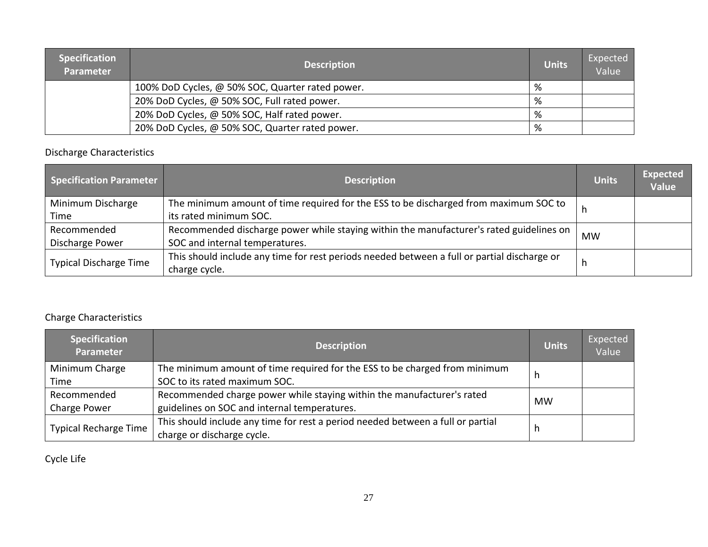| <b>Specification</b><br><b>Parameter</b> | <b>Description</b>                               | <b>Units</b> | Expected<br>Value |
|------------------------------------------|--------------------------------------------------|--------------|-------------------|
|                                          | 100% DoD Cycles, @ 50% SOC, Quarter rated power. | %            |                   |
|                                          | 20% DoD Cycles, @ 50% SOC, Full rated power.     | %            |                   |
|                                          | 20% DoD Cycles, @ 50% SOC, Half rated power.     | %            |                   |
|                                          | 20% DoD Cycles, @ 50% SOC, Quarter rated power.  | %            |                   |

# Discharge Characteristics

| <b>Specification Parameter</b> | <b>Description</b>                                                                          | <b>Units</b> | <b>Expected</b><br><b>Value</b> |
|--------------------------------|---------------------------------------------------------------------------------------------|--------------|---------------------------------|
| Minimum Discharge              | The minimum amount of time required for the ESS to be discharged from maximum SOC to        |              |                                 |
| Time                           | its rated minimum SOC.                                                                      |              |                                 |
| Recommended                    | Recommended discharge power while staying within the manufacturer's rated guidelines on     | <b>MW</b>    |                                 |
| Discharge Power                | SOC and internal temperatures.                                                              |              |                                 |
| <b>Typical Discharge Time</b>  | This should include any time for rest periods needed between a full or partial discharge or | h            |                                 |
|                                | charge cycle.                                                                               |              |                                 |

# Charge Characteristics

| <b>Specification</b><br><b>Parameter</b> | <b>Description</b>                                                              | <b>Units</b> | Expected<br>Value |
|------------------------------------------|---------------------------------------------------------------------------------|--------------|-------------------|
| Minimum Charge                           | The minimum amount of time required for the ESS to be charged from minimum      | h            |                   |
| Time                                     | SOC to its rated maximum SOC.                                                   |              |                   |
| Recommended                              | Recommended charge power while staying within the manufacturer's rated          | <b>MW</b>    |                   |
| Charge Power                             | guidelines on SOC and internal temperatures.                                    |              |                   |
| <b>Typical Recharge Time</b>             | This should include any time for rest a period needed between a full or partial |              |                   |
|                                          | charge or discharge cycle.                                                      | h            |                   |

Cycle Life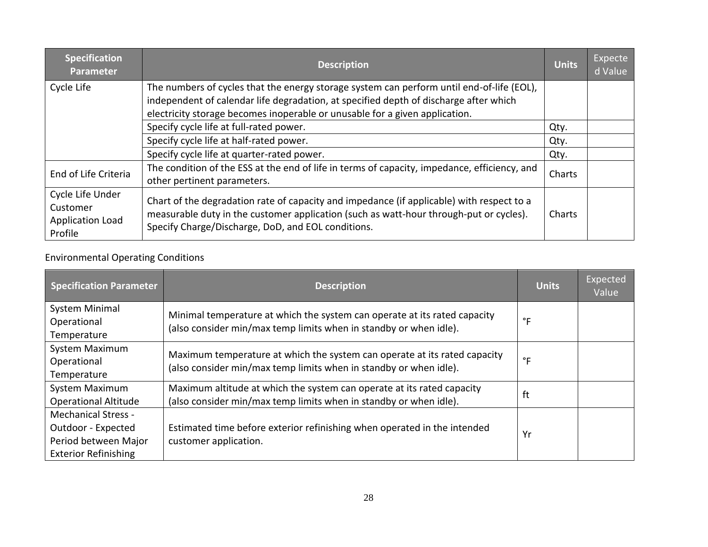| <b>Specification</b><br><b>Parameter</b>                           | <b>Description</b>                                                                                                                                                                                                                                                | <b>Units</b> | Expecte<br>d Value |
|--------------------------------------------------------------------|-------------------------------------------------------------------------------------------------------------------------------------------------------------------------------------------------------------------------------------------------------------------|--------------|--------------------|
| Cycle Life                                                         | The numbers of cycles that the energy storage system can perform until end-of-life (EOL),<br>independent of calendar life degradation, at specified depth of discharge after which<br>electricity storage becomes inoperable or unusable for a given application. |              |                    |
|                                                                    | Specify cycle life at full-rated power.                                                                                                                                                                                                                           | Qty.         |                    |
|                                                                    | Specify cycle life at half-rated power.                                                                                                                                                                                                                           | Qty.         |                    |
|                                                                    | Specify cycle life at quarter-rated power.                                                                                                                                                                                                                        | Qty.         |                    |
| End of Life Criteria                                               | The condition of the ESS at the end of life in terms of capacity, impedance, efficiency, and<br>other pertinent parameters.                                                                                                                                       | Charts       |                    |
| Cycle Life Under<br>Customer<br><b>Application Load</b><br>Profile | Chart of the degradation rate of capacity and impedance (if applicable) with respect to a<br>measurable duty in the customer application (such as watt-hour through-put or cycles).<br>Specify Charge/Discharge, DoD, and EOL conditions.                         | Charts       |                    |

# Environmental Operating Conditions

| <b>Specification Parameter</b> | <b>Description</b>                                                                                                                             | <b>Units</b> | <b>Expected</b><br>Value |
|--------------------------------|------------------------------------------------------------------------------------------------------------------------------------------------|--------------|--------------------------|
| System Minimal                 | Minimal temperature at which the system can operate at its rated capacity                                                                      |              |                          |
| Operational                    | (also consider min/max temp limits when in standby or when idle).                                                                              | $\degree$ F  |                          |
| Temperature                    |                                                                                                                                                |              |                          |
| System Maximum                 |                                                                                                                                                |              |                          |
| Operational                    | Maximum temperature at which the system can operate at its rated capacity<br>(also consider min/max temp limits when in standby or when idle). | $\degree$ F  |                          |
| Temperature                    |                                                                                                                                                |              |                          |
| System Maximum                 | Maximum altitude at which the system can operate at its rated capacity                                                                         | ft           |                          |
| <b>Operational Altitude</b>    | (also consider min/max temp limits when in standby or when idle).                                                                              |              |                          |
| <b>Mechanical Stress -</b>     |                                                                                                                                                |              |                          |
| Outdoor - Expected             | Estimated time before exterior refinishing when operated in the intended                                                                       |              |                          |
| Period between Major           | customer application.                                                                                                                          | Yr           |                          |
| <b>Exterior Refinishing</b>    |                                                                                                                                                |              |                          |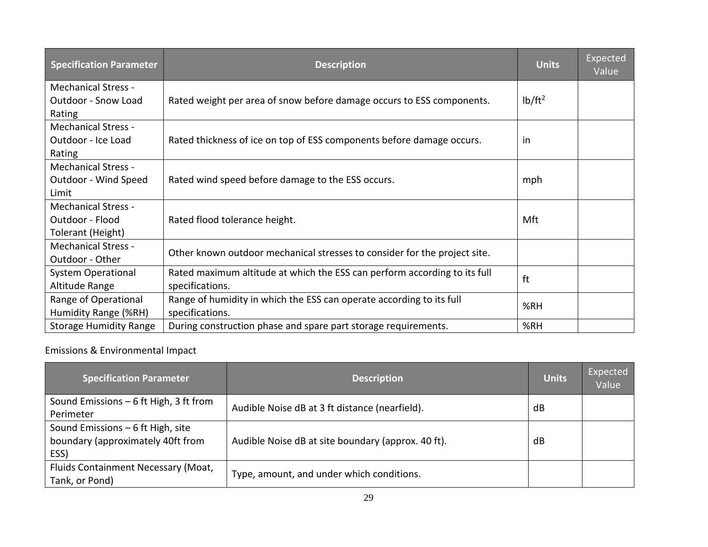| <b>Specification Parameter</b> | <b>Description</b>                                                        | <b>Units</b> | Expected<br>Value |
|--------------------------------|---------------------------------------------------------------------------|--------------|-------------------|
| <b>Mechanical Stress -</b>     |                                                                           |              |                   |
| <b>Outdoor - Snow Load</b>     | Rated weight per area of snow before damage occurs to ESS components.     | $1b/ft^2$    |                   |
| Rating                         |                                                                           |              |                   |
| <b>Mechanical Stress -</b>     |                                                                           |              |                   |
| Outdoor - Ice Load             | Rated thickness of ice on top of ESS components before damage occurs.     | -in          |                   |
| Rating                         |                                                                           |              |                   |
| <b>Mechanical Stress -</b>     |                                                                           |              |                   |
| Outdoor - Wind Speed           | Rated wind speed before damage to the ESS occurs.                         | mph          |                   |
| Limit                          |                                                                           |              |                   |
| <b>Mechanical Stress -</b>     |                                                                           |              |                   |
| Outdoor - Flood                | Rated flood tolerance height.                                             | Mft          |                   |
| Tolerant (Height)              |                                                                           |              |                   |
| <b>Mechanical Stress -</b>     | Other known outdoor mechanical stresses to consider for the project site. |              |                   |
| Outdoor - Other                |                                                                           |              |                   |
| <b>System Operational</b>      | Rated maximum altitude at which the ESS can perform according to its full | ft           |                   |
| Altitude Range                 | specifications.                                                           |              |                   |
| Range of Operational           | Range of humidity in which the ESS can operate according to its full      | %RH          |                   |
| Humidity Range (%RH)           | specifications.                                                           |              |                   |
| <b>Storage Humidity Range</b>  | During construction phase and spare part storage requirements.            | %RH          |                   |

# Emissions & Environmental Impact

| <b>Specification Parameter</b>                                                  | <b>Description</b>                                 | <b>Units</b> | Expected<br>Value |
|---------------------------------------------------------------------------------|----------------------------------------------------|--------------|-------------------|
| Sound Emissions $-6$ ft High, 3 ft from<br>Perimeter                            | Audible Noise dB at 3 ft distance (nearfield).     | dB           |                   |
| Sound Emissions $-6$ ft High, site<br>boundary (approximately 40ft from<br>ESS) | Audible Noise dB at site boundary (approx. 40 ft). | dB           |                   |
| Fluids Containment Necessary (Moat,<br>Tank, or Pond)                           | Type, amount, and under which conditions.          |              |                   |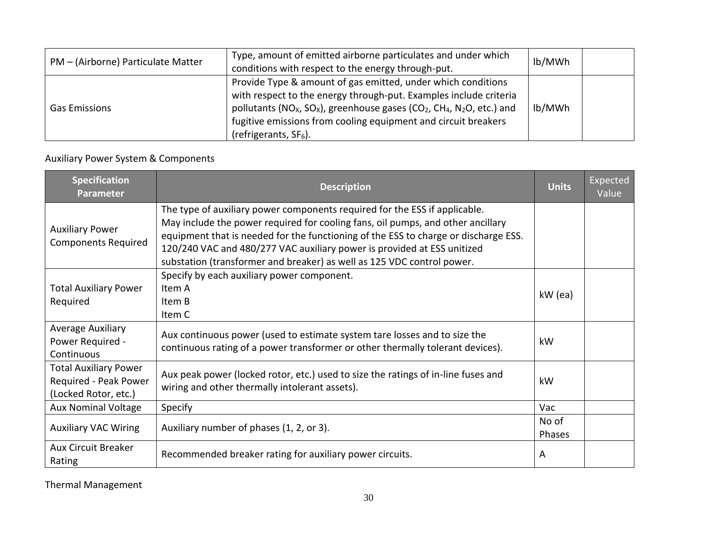| PM - (Airborne) Particulate Matter | Type, amount of emitted airborne particulates and under which<br>conditions with respect to the energy through-put.                                                                                                                                                                                                                                                  | lb/MWh |  |
|------------------------------------|----------------------------------------------------------------------------------------------------------------------------------------------------------------------------------------------------------------------------------------------------------------------------------------------------------------------------------------------------------------------|--------|--|
| <b>Gas Emissions</b>               | Provide Type & amount of gas emitted, under which conditions<br>with respect to the energy through-put. Examples include criteria<br>pollutants (NO <sub>x</sub> , SO <sub>x</sub> ), greenhouse gases (CO <sub>2</sub> , CH <sub>4</sub> , N <sub>2</sub> O, etc.) and<br>fugitive emissions from cooling equipment and circuit breakers<br>(refrigerants, $SF6$ ). | lb/MWh |  |

# Auxiliary Power System & Components

| <b>Specification</b><br><b>Parameter</b>                                      | <b>Description</b>                                                                                                                                                                                                                                                                                                                                                                                        | <b>Units</b>    | Expected<br>Value |
|-------------------------------------------------------------------------------|-----------------------------------------------------------------------------------------------------------------------------------------------------------------------------------------------------------------------------------------------------------------------------------------------------------------------------------------------------------------------------------------------------------|-----------------|-------------------|
| <b>Auxiliary Power</b><br><b>Components Required</b>                          | The type of auxiliary power components required for the ESS if applicable.<br>May include the power required for cooling fans, oil pumps, and other ancillary<br>equipment that is needed for the functioning of the ESS to charge or discharge ESS.<br>120/240 VAC and 480/277 VAC auxiliary power is provided at ESS unitized<br>substation (transformer and breaker) as well as 125 VDC control power. |                 |                   |
| <b>Total Auxiliary Power</b><br>Required                                      | Specify by each auxiliary power component.<br>Item A<br>Item B<br>Item C                                                                                                                                                                                                                                                                                                                                  | kW (ea)         |                   |
| Average Auxiliary<br>Power Required -<br>Continuous                           | Aux continuous power (used to estimate system tare losses and to size the<br>continuous rating of a power transformer or other thermally tolerant devices).                                                                                                                                                                                                                                               | kW              |                   |
| <b>Total Auxiliary Power</b><br>Required - Peak Power<br>(Locked Rotor, etc.) | Aux peak power (locked rotor, etc.) used to size the ratings of in-line fuses and<br>wiring and other thermally intolerant assets).                                                                                                                                                                                                                                                                       | kW              |                   |
| <b>Aux Nominal Voltage</b>                                                    | Specify                                                                                                                                                                                                                                                                                                                                                                                                   | Vac             |                   |
| <b>Auxiliary VAC Wiring</b>                                                   | Auxiliary number of phases (1, 2, or 3).                                                                                                                                                                                                                                                                                                                                                                  | No of<br>Phases |                   |
| <b>Aux Circuit Breaker</b><br>Rating                                          | Recommended breaker rating for auxiliary power circuits.                                                                                                                                                                                                                                                                                                                                                  | A               |                   |

Thermal Management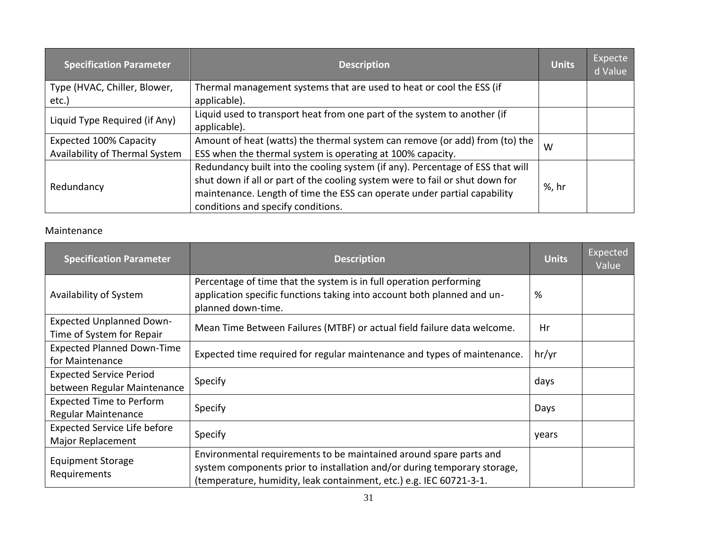| <b>Specification Parameter</b> | <b>Description</b>                                                             | <b>Units</b> | Expecte<br>d Value |
|--------------------------------|--------------------------------------------------------------------------------|--------------|--------------------|
| Type (HVAC, Chiller, Blower,   | Thermal management systems that are used to heat or cool the ESS (if           |              |                    |
| etc.)                          | applicable).                                                                   |              |                    |
| Liquid Type Required (if Any)  | Liquid used to transport heat from one part of the system to another (if       |              |                    |
|                                | applicable).                                                                   |              |                    |
| Expected 100% Capacity         | Amount of heat (watts) the thermal system can remove (or add) from (to) the    | W            |                    |
| Availability of Thermal System | ESS when the thermal system is operating at 100% capacity.                     |              |                    |
|                                | Redundancy built into the cooling system (if any). Percentage of ESS that will |              |                    |
|                                | shut down if all or part of the cooling system were to fail or shut down for   |              |                    |
| Redundancy                     | maintenance. Length of time the ESS can operate under partial capability       | %, hr        |                    |
|                                | conditions and specify conditions.                                             |              |                    |

# Maintenance

| <b>Specification Parameter</b>                                | <b>Description</b>                                                                                                                                                                                                    | <b>Units</b> | Expected<br>Value |
|---------------------------------------------------------------|-----------------------------------------------------------------------------------------------------------------------------------------------------------------------------------------------------------------------|--------------|-------------------|
| Availability of System                                        | Percentage of time that the system is in full operation performing<br>application specific functions taking into account both planned and un-<br>planned down-time.                                                   | %            |                   |
| <b>Expected Unplanned Down-</b><br>Time of System for Repair  | Mean Time Between Failures (MTBF) or actual field failure data welcome.                                                                                                                                               | Hr           |                   |
| <b>Expected Planned Down-Time</b><br>for Maintenance          | Expected time required for regular maintenance and types of maintenance.                                                                                                                                              | hr/yr        |                   |
| <b>Expected Service Period</b><br>between Regular Maintenance | Specify                                                                                                                                                                                                               | days         |                   |
| <b>Expected Time to Perform</b><br>Regular Maintenance        | Specify                                                                                                                                                                                                               | Days         |                   |
| <b>Expected Service Life before</b><br>Major Replacement      | Specify                                                                                                                                                                                                               | years        |                   |
| <b>Equipment Storage</b><br>Requirements                      | Environmental requirements to be maintained around spare parts and<br>system components prior to installation and/or during temporary storage,<br>(temperature, humidity, leak containment, etc.) e.g. IEC 60721-3-1. |              |                   |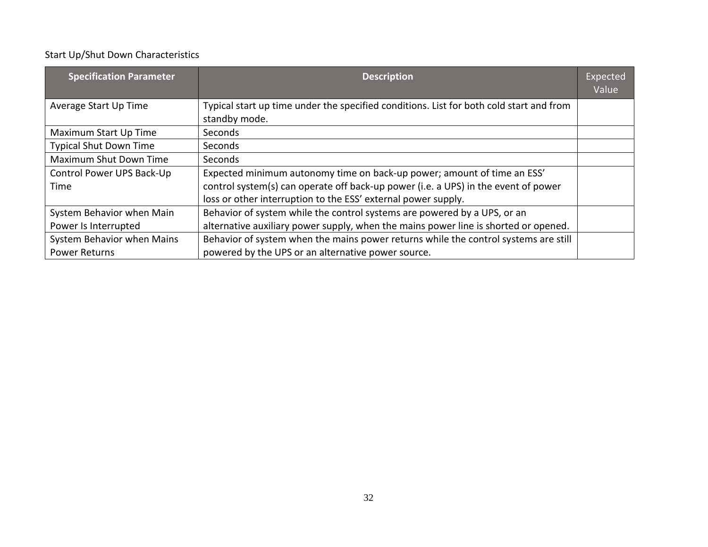# Start Up/Shut Down Characteristics

| <b>Specification Parameter</b> | <b>Description</b>                                                                                       | Expected<br>Value |
|--------------------------------|----------------------------------------------------------------------------------------------------------|-------------------|
| Average Start Up Time          | Typical start up time under the specified conditions. List for both cold start and from<br>standby mode. |                   |
| Maximum Start Up Time          | <b>Seconds</b>                                                                                           |                   |
| <b>Typical Shut Down Time</b>  | Seconds                                                                                                  |                   |
| <b>Maximum Shut Down Time</b>  | Seconds                                                                                                  |                   |
| Control Power UPS Back-Up      | Expected minimum autonomy time on back-up power; amount of time an ESS'                                  |                   |
| Time                           | control system(s) can operate off back-up power (i.e. a UPS) in the event of power                       |                   |
|                                | loss or other interruption to the ESS' external power supply.                                            |                   |
| System Behavior when Main      | Behavior of system while the control systems are powered by a UPS, or an                                 |                   |
| Power Is Interrupted           | alternative auxiliary power supply, when the mains power line is shorted or opened.                      |                   |
| System Behavior when Mains     | Behavior of system when the mains power returns while the control systems are still                      |                   |
| <b>Power Returns</b>           | powered by the UPS or an alternative power source.                                                       |                   |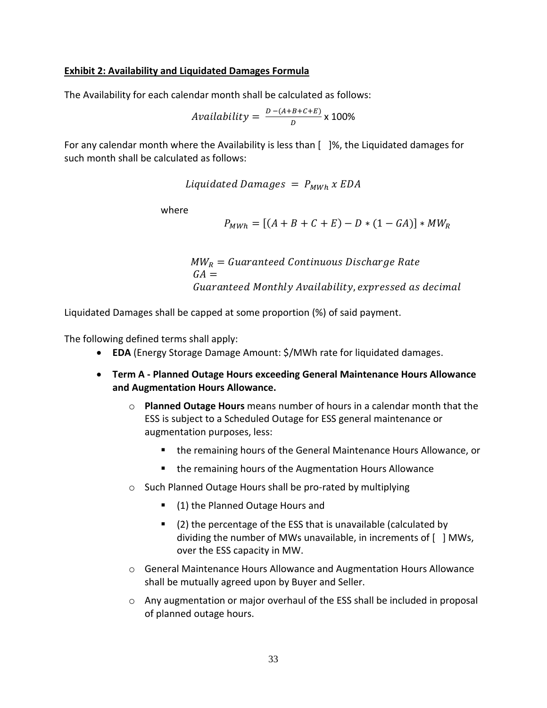### **Exhibit 2: Availability and Liquidated Damages Formula**

The Availability for each calendar month shall be calculated as follows:

*Availability* = 
$$
\frac{D - (A+B+C+E)}{D} \times 100\%
$$

For any calendar month where the Availability is less than [ ]%, the Liquidated damages for such month shall be calculated as follows:

Liquidated Damages =  $P_{MWh}$  x EDA

where

 $P_{MWh} = [(A + B + C + E) - D * (1 - GA)] * MW_R$ 

 $MW_R =$  Guaranteed Continuous Discharge Rate  $GA =$ Guaranteed Monthly Availability, expressed as decimal

Liquidated Damages shall be capped at some proportion (%) of said payment.

The following defined terms shall apply:

- **EDA** (Energy Storage Damage Amount: \$/MWh rate for liquidated damages.
- **Term A - Planned Outage Hours exceeding General Maintenance Hours Allowance and Augmentation Hours Allowance.**
	- o **Planned Outage Hours** means number of hours in a calendar month that the ESS is subject to a Scheduled Outage for ESS general maintenance or augmentation purposes, less:
		- the remaining hours of the General Maintenance Hours Allowance, or
		- the remaining hours of the Augmentation Hours Allowance
	- o Such Planned Outage Hours shall be pro-rated by multiplying
		- (1) the Planned Outage Hours and
		- (2) the percentage of the ESS that is unavailable (calculated by dividing the number of MWs unavailable, in increments of [ ] MWs, over the ESS capacity in MW.
	- o General Maintenance Hours Allowance and Augmentation Hours Allowance shall be mutually agreed upon by Buyer and Seller.
	- $\circ$  Any augmentation or major overhaul of the ESS shall be included in proposal of planned outage hours.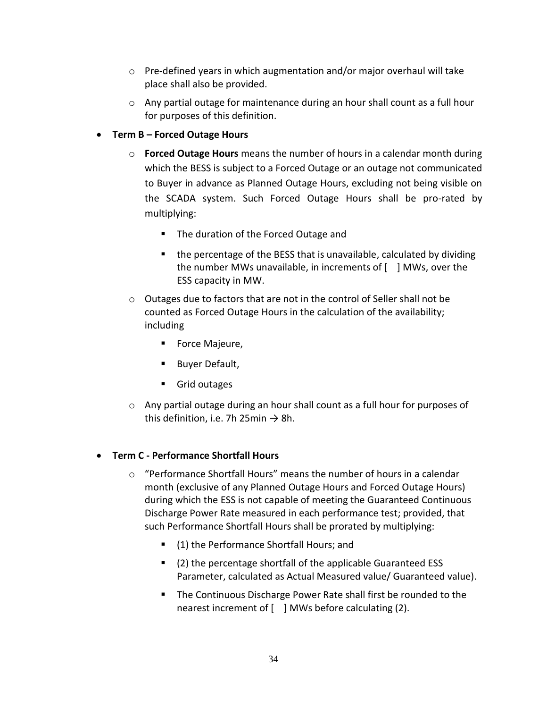- $\circ$  Pre-defined years in which augmentation and/or major overhaul will take place shall also be provided.
- o Any partial outage for maintenance during an hour shall count as a full hour for purposes of this definition.
- **Term B – Forced Outage Hours**
	- o **Forced Outage Hours** means the number of hours in a calendar month during which the BESS is subject to a Forced Outage or an outage not communicated to Buyer in advance as Planned Outage Hours, excluding not being visible on the SCADA system. Such Forced Outage Hours shall be pro-rated by multiplying:
		- The duration of the Forced Outage and
		- the percentage of the BESS that is unavailable, calculated by dividing the number MWs unavailable, in increments of [ ] MWs, over the ESS capacity in MW.
	- $\circ$  Outages due to factors that are not in the control of Seller shall not be counted as Forced Outage Hours in the calculation of the availability; including
		- Force Majeure,
		- Buyer Default,
		- Grid outages
	- $\circ$  Any partial outage during an hour shall count as a full hour for purposes of this definition, i.e. 7h 25min  $\rightarrow$  8h.

# • **Term C - Performance Shortfall Hours**

- o "Performance Shortfall Hours" means the number of hours in a calendar month (exclusive of any Planned Outage Hours and Forced Outage Hours) during which the ESS is not capable of meeting the Guaranteed Continuous Discharge Power Rate measured in each performance test; provided, that such Performance Shortfall Hours shall be prorated by multiplying:
	- (1) the Performance Shortfall Hours; and
	- (2) the percentage shortfall of the applicable Guaranteed ESS Parameter, calculated as Actual Measured value/ Guaranteed value).
	- The Continuous Discharge Power Rate shall first be rounded to the nearest increment of [ ] MWs before calculating (2).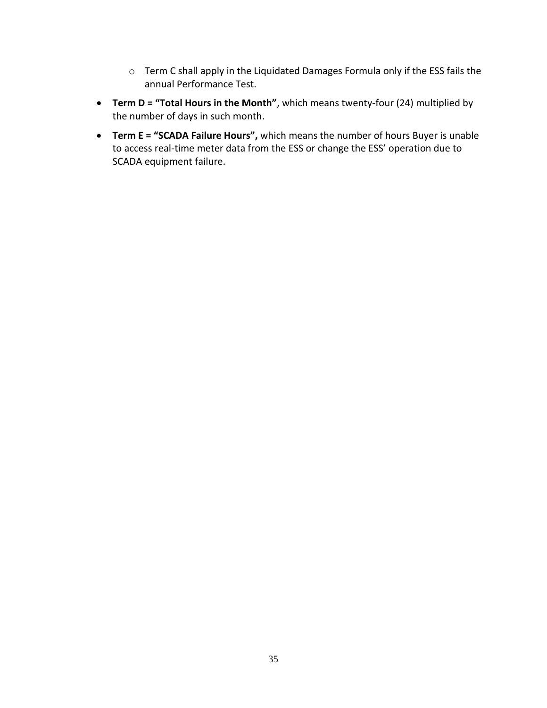- o Term C shall apply in the Liquidated Damages Formula only if the ESS fails the annual Performance Test.
- **Term D = "Total Hours in the Month"**, which means twenty-four (24) multiplied by the number of days in such month.
- **Term E = "SCADA Failure Hours",** which means the number of hours Buyer is unable to access real-time meter data from the ESS or change the ESS' operation due to SCADA equipment failure.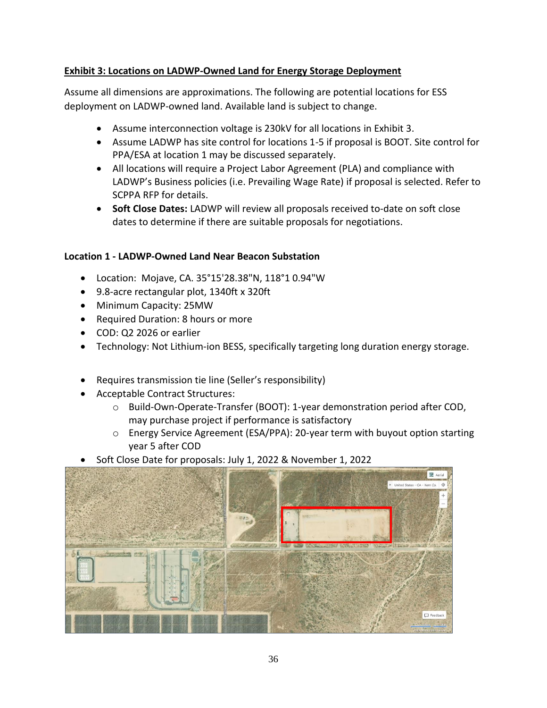# **Exhibit 3: Locations on LADWP-Owned Land for Energy Storage Deployment**

Assume all dimensions are approximations. The following are potential locations for ESS deployment on LADWP-owned land. Available land is subject to change.

- Assume interconnection voltage is 230kV for all locations in Exhibit 3.
- Assume LADWP has site control for locations 1-5 if proposal is BOOT. Site control for PPA/ESA at location 1 may be discussed separately.
- All locations will require a Project Labor Agreement (PLA) and compliance with LADWP's Business policies (i.e. Prevailing Wage Rate) if proposal is selected. Refer to SCPPA RFP for details.
- **Soft Close Dates:** LADWP will review all proposals received to-date on soft close dates to determine if there are suitable proposals for negotiations.

# **Location 1 - LADWP-Owned Land Near Beacon Substation**

- Location: Mojave, CA. 35°15'28.38"N, 118°1 0.94"W
- 9.8-acre rectangular plot, 1340ft x 320ft
- Minimum Capacity: 25MW
- Required Duration: 8 hours or more
- COD: Q2 2026 or earlier
- Technology: Not Lithium-ion BESS, specifically targeting long duration energy storage.
- Requires transmission tie line (Seller's responsibility)
- Acceptable Contract Structures:
	- o Build-Own-Operate-Transfer (BOOT): 1-year demonstration period after COD, may purchase project if performance is satisfactory
	- o Energy Service Agreement (ESA/PPA): 20-year term with buyout option starting year 5 after COD
- Soft Close Date for proposals: July 1, 2022 & November 1, 2022

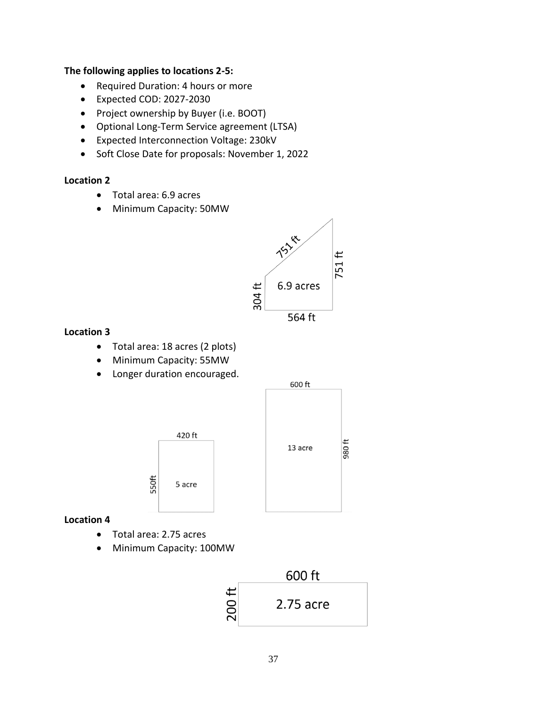#### **The following applies to locations 2-5:**

- Required Duration: 4 hours or more
- Expected COD: 2027-2030
- Project ownership by Buyer (i.e. BOOT)
- Optional Long-Term Service agreement (LTSA)
- Expected Interconnection Voltage: 230kV
- Soft Close Date for proposals: November 1, 2022

#### **Location 2**

- Total area: 6.9 acres
- Minimum Capacity: 50MW



### **Location 3**

- Total area: 18 acres (2 plots)
- Minimum Capacity: 55MW
- Longer duration encouraged.



### **Location 4**

- Total area: 2.75 acres
- Minimum Capacity: 100MW